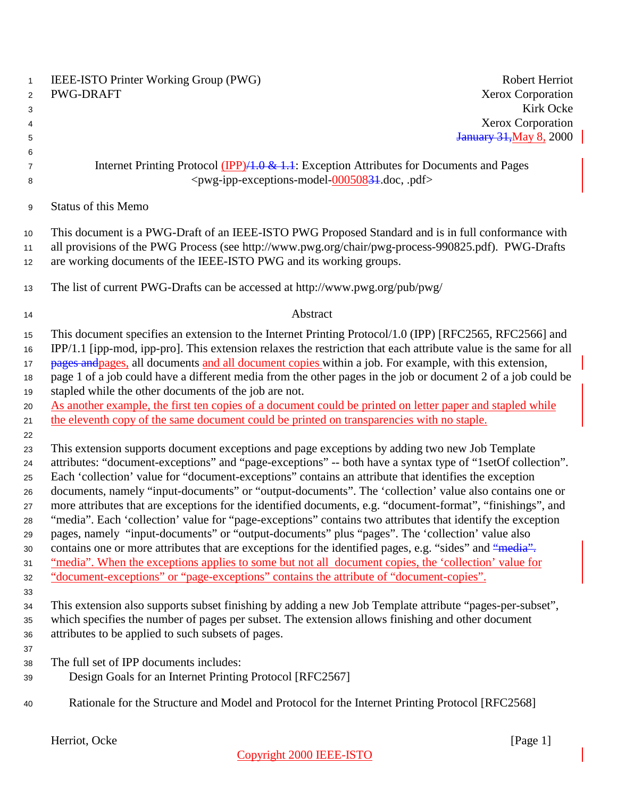| $\mathbf{1}$<br>$\overline{2}$ | IEEE-ISTO Printer Working Group (PWG)<br>PWG-DRAFT                                                                                                                                                                  | Robert Herriot<br>Xerox Corporation |
|--------------------------------|---------------------------------------------------------------------------------------------------------------------------------------------------------------------------------------------------------------------|-------------------------------------|
| 3                              |                                                                                                                                                                                                                     | Kirk Ocke                           |
| 4                              |                                                                                                                                                                                                                     | Xerox Corporation                   |
| 5                              |                                                                                                                                                                                                                     | <b>January 31, May 8, 2000</b>      |
| 6                              |                                                                                                                                                                                                                     |                                     |
| $\overline{7}$                 | Internet Printing Protocol (IPP)/1.0 & 1.1: Exception Attributes for Documents and Pages                                                                                                                            |                                     |
| 8                              | <pwg-ipp-exceptions-model-00050834.doc, .pdf=""></pwg-ipp-exceptions-model-00050834.doc,>                                                                                                                           |                                     |
| $\boldsymbol{9}$               | <b>Status of this Memo</b>                                                                                                                                                                                          |                                     |
| $10$                           | This document is a PWG-Draft of an IEEE-ISTO PWG Proposed Standard and is in full conformance with                                                                                                                  |                                     |
| 11                             | all provisions of the PWG Process (see http://www.pwg.org/chair/pwg-process-990825.pdf). PWG-Drafts                                                                                                                 |                                     |
| 12                             | are working documents of the IEEE-ISTO PWG and its working groups.                                                                                                                                                  |                                     |
|                                |                                                                                                                                                                                                                     |                                     |
| 13                             | The list of current PWG-Drafts can be accessed at http://www.pwg.org/pub/pwg/                                                                                                                                       |                                     |
| 14                             | Abstract                                                                                                                                                                                                            |                                     |
| 15                             | This document specifies an extension to the Internet Printing Protocol/1.0 (IPP) [RFC2565, RFC2566] and                                                                                                             |                                     |
| 16                             | IPP/1.1 [ipp-mod, ipp-pro]. This extension relaxes the restriction that each attribute value is the same for all                                                                                                    |                                     |
| 17                             | pages and pages, all documents and all document copies within a job. For example, with this extension,                                                                                                              |                                     |
| 18                             | page 1 of a job could have a different media from the other pages in the job or document 2 of a job could be                                                                                                        |                                     |
| 19                             | stapled while the other documents of the job are not.                                                                                                                                                               |                                     |
| 20                             | As another example, the first ten copies of a document could be printed on letter paper and stapled while                                                                                                           |                                     |
| 21                             | the eleventh copy of the same document could be printed on transparencies with no staple.                                                                                                                           |                                     |
| 22                             |                                                                                                                                                                                                                     |                                     |
| 23                             | This extension supports document exceptions and page exceptions by adding two new Job Template                                                                                                                      |                                     |
| 24                             | attributes: "document-exceptions" and "page-exceptions" -- both have a syntax type of "1setOf collection".<br>Each 'collection' value for "document-exceptions" contains an attribute that identifies the exception |                                     |
| 25<br>26                       | documents, namely "input-documents" or "output-documents". The 'collection' value also contains one or                                                                                                              |                                     |
| 27                             | more attributes that are exceptions for the identified documents, e.g. "document-format", "finishings", and                                                                                                         |                                     |
| 28                             | "media". Each 'collection' value for "page-exceptions" contains two attributes that identify the exception                                                                                                          |                                     |
| 29                             | pages, namely "input-documents" or "output-documents" plus "pages". The 'collection' value also                                                                                                                     |                                     |
| 30                             | contains one or more attributes that are exceptions for the identified pages, e.g. "sides" and "media".                                                                                                             |                                     |
| 31                             | "media". When the exceptions applies to some but not all document copies, the 'collection' value for                                                                                                                |                                     |
| 32                             | "document-exceptions" or "page-exceptions" contains the attribute of "document-copies".                                                                                                                             |                                     |
| 33                             |                                                                                                                                                                                                                     |                                     |
| 34                             | This extension also supports subset finishing by adding a new Job Template attribute "pages-per-subset",                                                                                                            |                                     |
| 35                             | which specifies the number of pages per subset. The extension allows finishing and other document                                                                                                                   |                                     |
| 36                             | attributes to be applied to such subsets of pages.                                                                                                                                                                  |                                     |
| 37                             |                                                                                                                                                                                                                     |                                     |
| 38                             | The full set of IPP documents includes:                                                                                                                                                                             |                                     |
| 39                             | Design Goals for an Internet Printing Protocol [RFC2567]                                                                                                                                                            |                                     |
| 40                             | Rationale for the Structure and Model and Protocol for the Internet Printing Protocol [RFC2568]                                                                                                                     |                                     |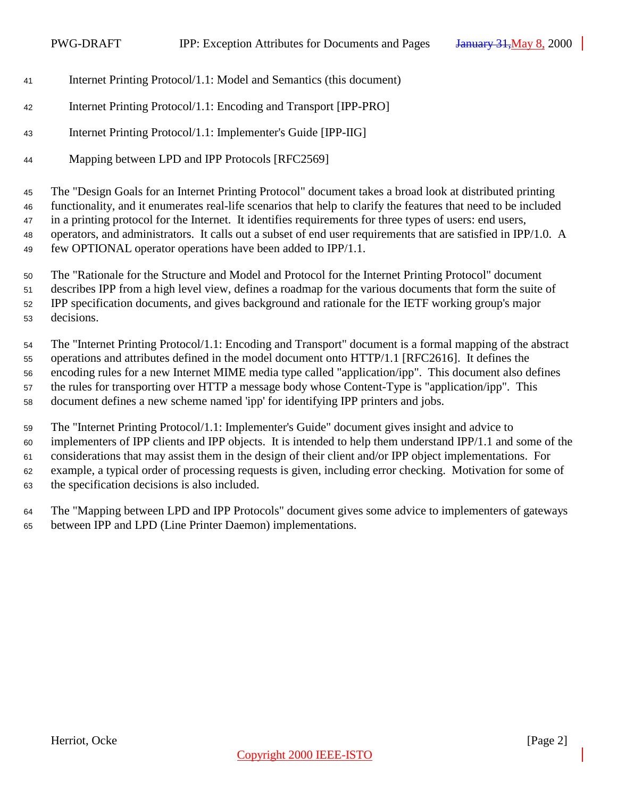- Internet Printing Protocol/1.1: Model and Semantics (this document)
- Internet Printing Protocol/1.1: Encoding and Transport [IPP-PRO]
- Internet Printing Protocol/1.1: Implementer's Guide [IPP-IIG]
- 44 Mapping between LPD and IPP Protocols [RFC2569]

 The "Design Goals for an Internet Printing Protocol" document takes a broad look at distributed printing functionality, and it enumerates real-life scenarios that help to clarify the features that need to be included in a printing protocol for the Internet. It identifies requirements for three types of users: end users, operators, and administrators. It calls out a subset of end user requirements that are satisfied in IPP/1.0. A few OPTIONAL operator operations have been added to IPP/1.1.

 The "Rationale for the Structure and Model and Protocol for the Internet Printing Protocol" document describes IPP from a high level view, defines a roadmap for the various documents that form the suite of IPP specification documents, and gives background and rationale for the IETF working group's major decisions.

 The "Internet Printing Protocol/1.1: Encoding and Transport" document is a formal mapping of the abstract operations and attributes defined in the model document onto HTTP/1.1 [RFC2616]. It defines the encoding rules for a new Internet MIME media type called "application/ipp". This document also defines the rules for transporting over HTTP a message body whose Content-Type is "application/ipp". This document defines a new scheme named 'ipp' for identifying IPP printers and jobs.

 The "Internet Printing Protocol/1.1: Implementer's Guide" document gives insight and advice to implementers of IPP clients and IPP objects. It is intended to help them understand IPP/1.1 and some of the considerations that may assist them in the design of their client and/or IPP object implementations. For example, a typical order of processing requests is given, including error checking. Motivation for some of the specification decisions is also included.

 The "Mapping between LPD and IPP Protocols" document gives some advice to implementers of gateways between IPP and LPD (Line Printer Daemon) implementations.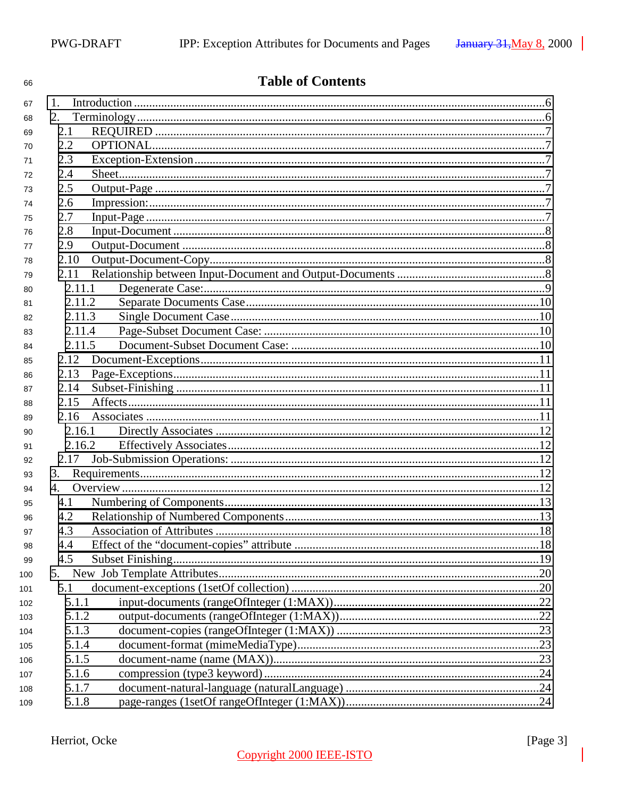| 66  |         | <b>Table of Contents</b> |  |
|-----|---------|--------------------------|--|
| 67  | $1_{-}$ |                          |  |
| 68  | 2.      |                          |  |
| 69  | 2.1     |                          |  |
| 70  | 2.2     |                          |  |
| 71  | 2.3     |                          |  |
| 72  | 2.4     |                          |  |
| 73  | 2.5     |                          |  |
| 74  | 2.6     |                          |  |
| 75  | 2.7     |                          |  |
| 76  | 2.8     |                          |  |
| 77  | 2.9     |                          |  |
| 78  | 2.10    |                          |  |
| 79  | 2.11    |                          |  |
| 80  | 2.11.1  |                          |  |
| 81  | 2.11.2  |                          |  |
| 82  | 2.11.3  |                          |  |
| 83  | 2.11.4  |                          |  |
| 84  | 2.11.5  |                          |  |
| 85  | 2.12    |                          |  |
| 86  | 2.13    |                          |  |
| 87  | 2.14    |                          |  |
| 88  | 2.15    |                          |  |
| 89  | 2.16    |                          |  |
| 90  | 2.16.1  |                          |  |
| 91  | 2.16.2  |                          |  |
| 92  | 2.17    |                          |  |
| 93  | 3.      |                          |  |
| 94  | 4.      |                          |  |
| 95  | 4.1     |                          |  |
| 96  | 4.2     |                          |  |
| 97  | 4.3     |                          |  |
| 98  | 4.4     |                          |  |
| 99  | 4.5     |                          |  |
| 100 | 5.      |                          |  |
| 101 | 5.1     |                          |  |
| 102 | 5.1.1   |                          |  |
| 103 | 5.1.2   |                          |  |
| 104 | 5.1.3   |                          |  |
| 105 | 5.1.4   |                          |  |
| 106 | 5.1.5   |                          |  |
| 107 | 5.1.6   |                          |  |
| 108 | 5.1.7   |                          |  |
| 109 | 5.1.8   |                          |  |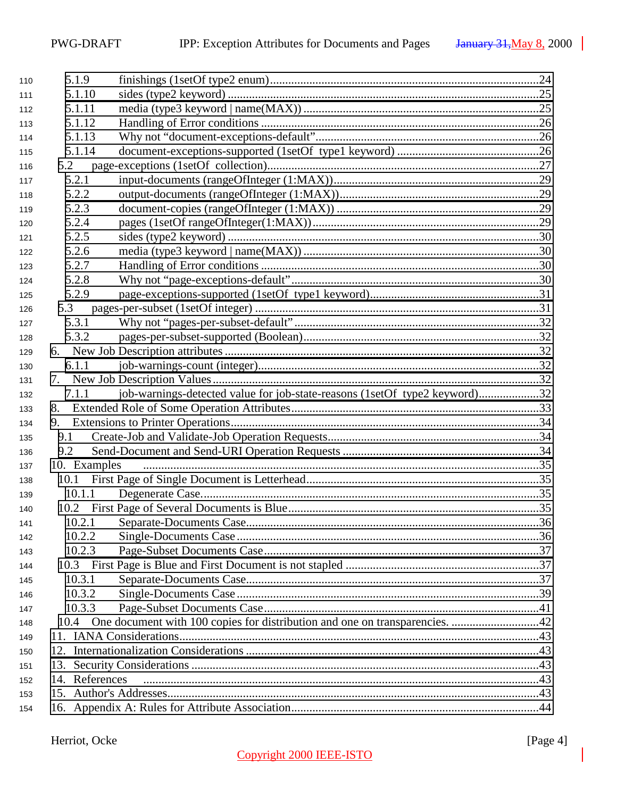| 110 | 5.1.9          |                                                                                  |  |
|-----|----------------|----------------------------------------------------------------------------------|--|
| 111 | 5.1.10         |                                                                                  |  |
| 112 | 5.1.11         |                                                                                  |  |
| 113 | 5.1.12         |                                                                                  |  |
| 114 | 5.1.13         |                                                                                  |  |
| 115 | 5.1.14         |                                                                                  |  |
| 116 | 5.2            |                                                                                  |  |
| 117 | 5.2.1          |                                                                                  |  |
| 118 | 5.2.2          |                                                                                  |  |
| 119 | 5.2.3          |                                                                                  |  |
| 120 | 5.2.4          |                                                                                  |  |
| 121 | 5.2.5          |                                                                                  |  |
| 122 | 5.2.6          |                                                                                  |  |
| 123 | 5.2.7          |                                                                                  |  |
| 124 | 5.2.8          |                                                                                  |  |
| 125 | 5.2.9          |                                                                                  |  |
| 126 |                |                                                                                  |  |
| 127 | 5.3.1          |                                                                                  |  |
| 128 | 5.3.2          |                                                                                  |  |
| 129 |                |                                                                                  |  |
| 130 | 6.1.1          |                                                                                  |  |
| 131 |                |                                                                                  |  |
| 132 | 7.1.1          | job-warnings-detected value for job-state-reasons (1setOf type2 keyword)32       |  |
| 133 | 8.             |                                                                                  |  |
| 134 | 9.             |                                                                                  |  |
| 135 | 9.1            |                                                                                  |  |
| 136 | 9.2            |                                                                                  |  |
| 137 | 10. Examples   |                                                                                  |  |
| 138 | 10.1           |                                                                                  |  |
| 139 | 10.1.1         |                                                                                  |  |
| 140 |                |                                                                                  |  |
| 141 |                |                                                                                  |  |
| 142 | 10.2.2         |                                                                                  |  |
| 143 | 10.2.3         |                                                                                  |  |
| 144 |                |                                                                                  |  |
| 145 | 10.3.1         |                                                                                  |  |
| 146 | 10.3.2         |                                                                                  |  |
| 147 | 10.3.3         |                                                                                  |  |
| 148 |                | 10.4 One document with 100 copies for distribution and one on transparencies. 42 |  |
| 149 |                |                                                                                  |  |
| 150 |                |                                                                                  |  |
| 151 |                |                                                                                  |  |
| 152 | 14. References |                                                                                  |  |
| 153 |                |                                                                                  |  |
| 154 |                |                                                                                  |  |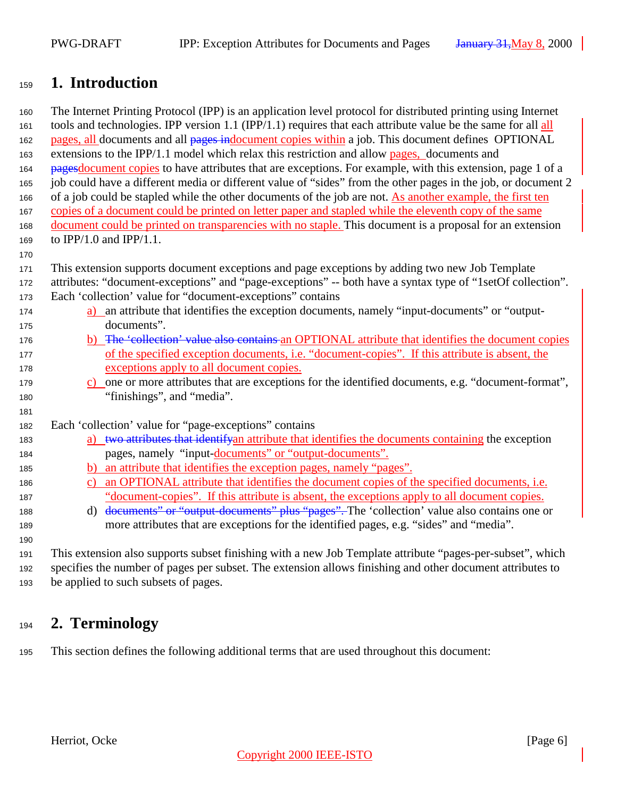## <span id="page-5-0"></span>**1. Introduction**

 The Internet Printing Protocol (IPP) is an application level protocol for distributed printing using Internet 161 tools and technologies. IPP version 1.1 (IPP/1.1) requires that each attribute value be the same for all  $\frac{all}{ }$  pages, all documents and all pages indocument copies within a job. This document defines OPTIONAL extensions to the IPP/1.1 model which relax this restriction and allow pages, documents and 164 pages document copies to have attributes that are exceptions. For example, with this extension, page 1 of a job could have a different media or different value of "sides" from the other pages in the job, or document 2 of a job could be stapled while the other documents of the job are not. As another example, the first ten copies of a document could be printed on letter paper and stapled while the eleventh copy of the same document could be printed on transparencies with no staple. This document is a proposal for an extension to IPP/1.0 and IPP/1.1. This extension supports document exceptions and page exceptions by adding two new Job Template attributes: "document-exceptions" and "page-exceptions" -- both have a syntax type of "1setOf collection". Each 'collection' value for "document-exceptions" contains

- a) an attribute that identifies the exception documents, namely "input-documents" or "output-documents".
- 176 b) The 'collection' value also contains an OPTIONAL attribute that identifies the document copies of the specified exception documents, i.e. "document-copies". If this attribute is absent, the exceptions apply to all document copies.
- c) one or more attributes that are exceptions for the identified documents, e.g. "document-format", "finishings", and "media".
- Each 'collection' value for "page-exceptions" contains
- 183 a) two attributes that identifyan attribute that identifies the documents containing the exception pages, namely "input-documents" or "output-documents".
- b) an attribute that identifies the exception pages, namely "pages".
- 186 c) an OPTIONAL attribute that identifies the document copies of the specified documents, i.e. "document-copies". If this attribute is absent, the exceptions apply to all document copies.
- 188 d) documents" or "output-documents" plus "pages". The 'collection' value also contains one or more attributes that are exceptions for the identified pages, e.g. "sides" and "media".

 This extension also supports subset finishing with a new Job Template attribute "pages-per-subset", which specifies the number of pages per subset. The extension allows finishing and other document attributes to be applied to such subsets of pages.

## **2. Terminology**

This section defines the following additional terms that are used throughout this document: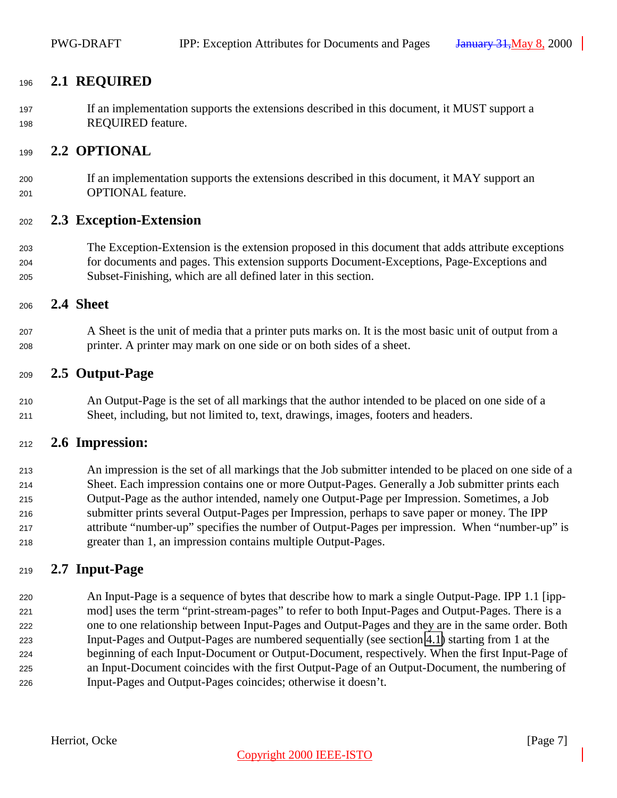### <span id="page-6-0"></span>**2.1 REQUIRED**

 If an implementation supports the extensions described in this document, it MUST support a REQUIRED feature.

#### **2.2 OPTIONAL**

 If an implementation supports the extensions described in this document, it MAY support an OPTIONAL feature.

#### **2.3 Exception-Extension**

 The Exception-Extension is the extension proposed in this document that adds attribute exceptions for documents and pages. This extension supports Document-Exceptions, Page-Exceptions and Subset-Finishing, which are all defined later in this section.

#### **2.4 Sheet**

 A Sheet is the unit of media that a printer puts marks on. It is the most basic unit of output from a printer. A printer may mark on one side or on both sides of a sheet.

#### **2.5 Output-Page**

 An Output-Page is the set of all markings that the author intended to be placed on one side of a Sheet, including, but not limited to, text, drawings, images, footers and headers.

#### **2.6 Impression:**

 An impression is the set of all markings that the Job submitter intended to be placed on one side of a Sheet. Each impression contains one or more Output-Pages. Generally a Job submitter prints each Output-Page as the author intended, namely one Output-Page per Impression. Sometimes, a Job submitter prints several Output-Pages per Impression, perhaps to save paper or money. The IPP attribute "number-up" specifies the number of Output-Pages per impression. When "number-up" is greater than 1, an impression contains multiple Output-Pages.

#### **2.7 Input-Page**

 An Input-Page is a sequence of bytes that describe how to mark a single Output-Page. IPP 1.1 [ipp- mod] uses the term "print-stream-pages" to refer to both Input-Pages and Output-Pages. There is a one to one relationship between Input-Pages and Output-Pages and they are in the same order. Both Input-Pages and Output-Pages are numbered sequentially (see section [4.1\)](#page-12-0) starting from 1 at the beginning of each Input-Document or Output-Document, respectively. When the first Input-Page of an Input-Document coincides with the first Output-Page of an Output-Document, the numbering of Input-Pages and Output-Pages coincides; otherwise it doesn't.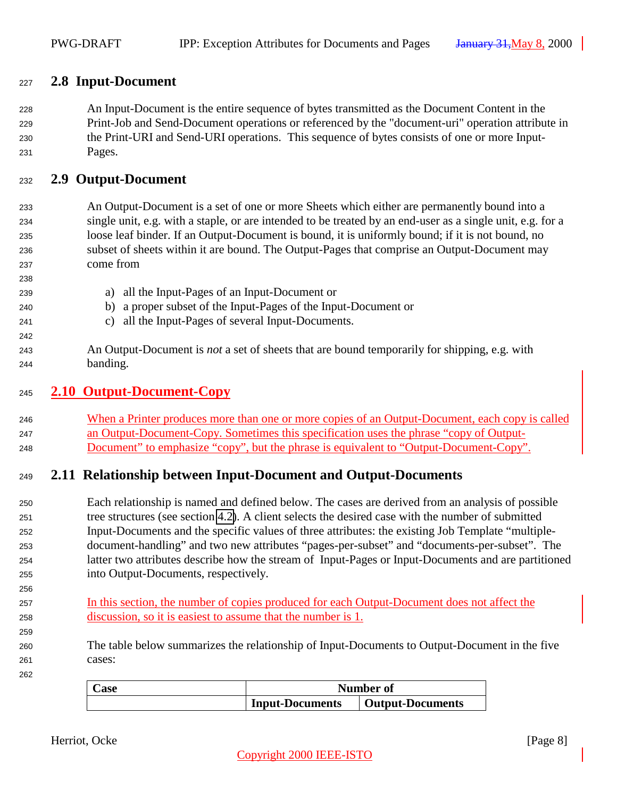### <span id="page-7-0"></span>**2.8 Input-Document**

 An Input-Document is the entire sequence of bytes transmitted as the Document Content in the Print-Job and Send-Document operations or referenced by the "document-uri" operation attribute in the Print-URI and Send-URI operations. This sequence of bytes consists of one or more Input-Pages.

#### **2.9 Output-Document**

- An Output-Document is a set of one or more Sheets which either are permanently bound into a single unit, e.g. with a staple, or are intended to be treated by an end-user as a single unit, e.g. for a loose leaf binder. If an Output-Document is bound, it is uniformly bound; if it is not bound, no subset of sheets within it are bound. The Output-Pages that comprise an Output-Document may come from
- a) all the Input-Pages of an Input-Document or b) a proper subset of the Input-Pages of the Input-Document or c) all the Input-Pages of several Input-Documents. An Output-Document is *not* a set of sheets that are bound temporarily for shipping, e.g. with banding.

#### **2.10 Output-Document-Copy**

 When a Printer produces more than one or more copies of an Output-Document, each copy is called an Output-Document-Copy. Sometimes this specification uses the phrase "copy of Output-Document" to emphasize "copy", but the phrase is equivalent to "Output-Document-Copy".

## **2.11 Relationship between Input-Document and Output-Documents**

- Each relationship is named and defined below. The cases are derived from an analysis of possible tree structures (see section [4.2\)](#page-12-0). A client selects the desired case with the number of submitted Input-Documents and the specific values of three attributes: the existing Job Template "multiple- document-handling" and two new attributes "pages-per-subset" and "documents-per-subset". The latter two attributes describe how the stream of Input-Pages or Input-Documents and are partitioned into Output-Documents, respectively.
- **In this section, the number of copies produced for each Output-Document does not affect the** discussion, so it is easiest to assume that the number is 1.
- The table below summarizes the relationship of Input-Documents to Output-Document in the five cases:

| ∠ase | Number of              |                  |
|------|------------------------|------------------|
|      | <b>Input-Documents</b> | Output-Documents |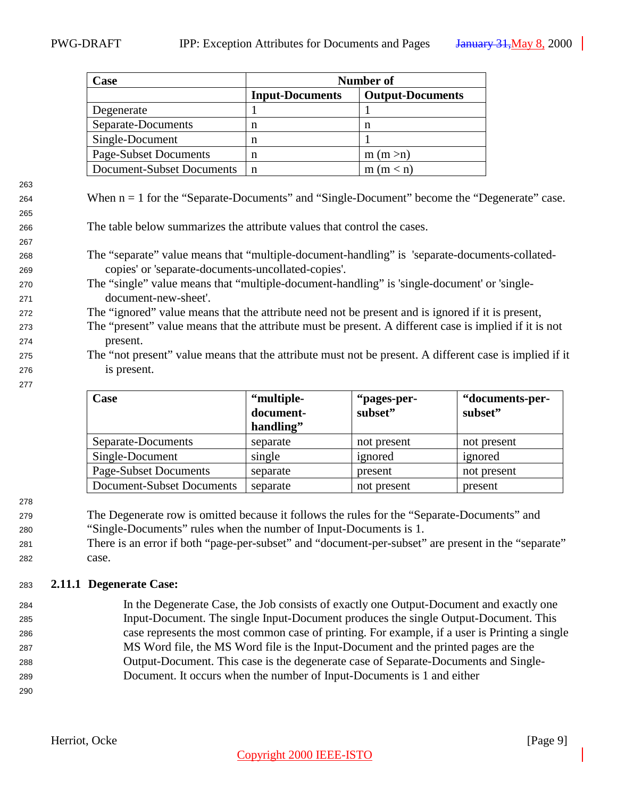<span id="page-8-0"></span>

| Case                         | Number of              |                         |  |
|------------------------------|------------------------|-------------------------|--|
|                              | <b>Input-Documents</b> | <b>Output-Documents</b> |  |
| Degenerate                   |                        |                         |  |
| Separate-Documents           | n                      | n                       |  |
| Single-Document              | n                      |                         |  |
| <b>Page-Subset Documents</b> | n                      | m (m > n)               |  |
| Document-Subset Documents    | n                      | (m < n)                 |  |

<sup>264</sup> When n = 1 for the "Separate-Documents" and "Single-Document" become the "Degenerate" case.

<sup>266</sup> The table below summarizes the attribute values that control the cases.

- <sup>268</sup> The "separate" value means that "multiple-document-handling" is 'separate-documents-collated-<sup>269</sup> copies' or 'separate-documents-uncollated-copies'.
- <sup>270</sup> The "single" value means that "multiple-document-handling" is 'single-document' or 'single-<sup>271</sup> document-new-sheet'.

<sup>272</sup> The "ignored" value means that the attribute need not be present and is ignored if it is present,

- <sup>273</sup> The "present" value means that the attribute must be present. A different case is implied if it is not <sup>274</sup> present.
- <sup>275</sup> The "not present" value means that the attribute must not be present. A different case is implied if it <sup>276</sup> is present.

| <b>Case</b>                  | "multiple- | "pages-per- | "documents-per- |
|------------------------------|------------|-------------|-----------------|
|                              | document-  | subset"     | subset"         |
|                              | handling"  |             |                 |
| Separate-Documents           | separate   | not present | not present     |
| Single-Document              | single     | ignored     | ignored         |
| <b>Page-Subset Documents</b> | separate   | present     | not present     |
| Document-Subset Documents    | separate   | not present | present         |

278

277

263

265

267

<sup>279</sup> The Degenerate row is omitted because it follows the rules for the "Separate-Documents" and

- <sup>280</sup> "Single-Documents" rules when the number of Input-Documents is 1.
- <sup>281</sup> There is an error if both "page-per-subset" and "document-per-subset" are present in the "separate" <sup>282</sup> case.

#### <sup>283</sup> **2.11.1 Degenerate Case:**

- <sup>284</sup> In the Degenerate Case, the Job consists of exactly one Output-Document and exactly one <sup>285</sup> Input-Document. The single Input-Document produces the single Output-Document. This <sup>286</sup> case represents the most common case of printing. For example, if a user is Printing a single <sup>287</sup> MS Word file, the MS Word file is the Input-Document and the printed pages are the <sup>288</sup> Output-Document. This case is the degenerate case of Separate-Documents and Single-<sup>289</sup> Document. It occurs when the number of Input-Documents is 1 and either
- 290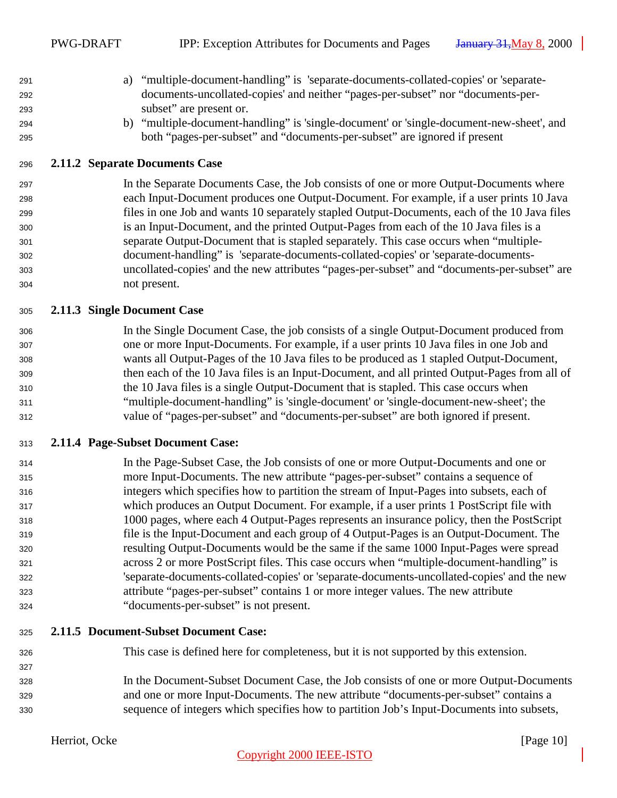- <span id="page-9-0"></span> a) "multiple-document-handling" is 'separate-documents-collated-copies' or 'separate- documents-uncollated-copies' and neither "pages-per-subset" nor "documents-per-subset" are present or.
- b) "multiple-document-handling" is 'single-document' or 'single-document-new-sheet', and both "pages-per-subset" and "documents-per-subset" are ignored if present

### **2.11.2 Separate Documents Case**

 In the Separate Documents Case, the Job consists of one or more Output-Documents where each Input-Document produces one Output-Document. For example, if a user prints 10 Java files in one Job and wants 10 separately stapled Output-Documents, each of the 10 Java files is an Input-Document, and the printed Output-Pages from each of the 10 Java files is a separate Output-Document that is stapled separately. This case occurs when "multiple- document-handling" is 'separate-documents-collated-copies' or 'separate-documents- uncollated-copies' and the new attributes "pages-per-subset" and "documents-per-subset" are not present.

#### **2.11.3 Single Document Case**

 In the Single Document Case, the job consists of a single Output-Document produced from one or more Input-Documents. For example, if a user prints 10 Java files in one Job and wants all Output-Pages of the 10 Java files to be produced as 1 stapled Output-Document, then each of the 10 Java files is an Input-Document, and all printed Output-Pages from all of the 10 Java files is a single Output-Document that is stapled. This case occurs when "multiple-document-handling" is 'single-document' or 'single-document-new-sheet'; the value of "pages-per-subset" and "documents-per-subset" are both ignored if present.

#### **2.11.4 Page-Subset Document Case:**

 In the Page-Subset Case, the Job consists of one or more Output-Documents and one or more Input-Documents. The new attribute "pages-per-subset" contains a sequence of integers which specifies how to partition the stream of Input-Pages into subsets, each of which produces an Output Document. For example, if a user prints 1 PostScript file with 1000 pages, where each 4 Output-Pages represents an insurance policy, then the PostScript file is the Input-Document and each group of 4 Output-Pages is an Output-Document. The resulting Output-Documents would be the same if the same 1000 Input-Pages were spread across 2 or more PostScript files. This case occurs when "multiple-document-handling" is 'separate-documents-collated-copies' or 'separate-documents-uncollated-copies' and the new attribute "pages-per-subset" contains 1 or more integer values. The new attribute "documents-per-subset" is not present.

- **2.11.5 Document-Subset Document Case:**
- This case is defined here for completeness, but it is not supported by this extension.
- In the Document-Subset Document Case, the Job consists of one or more Output-Documents and one or more Input-Documents. The new attribute "documents-per-subset" contains a sequence of integers which specifies how to partition Job's Input-Documents into subsets,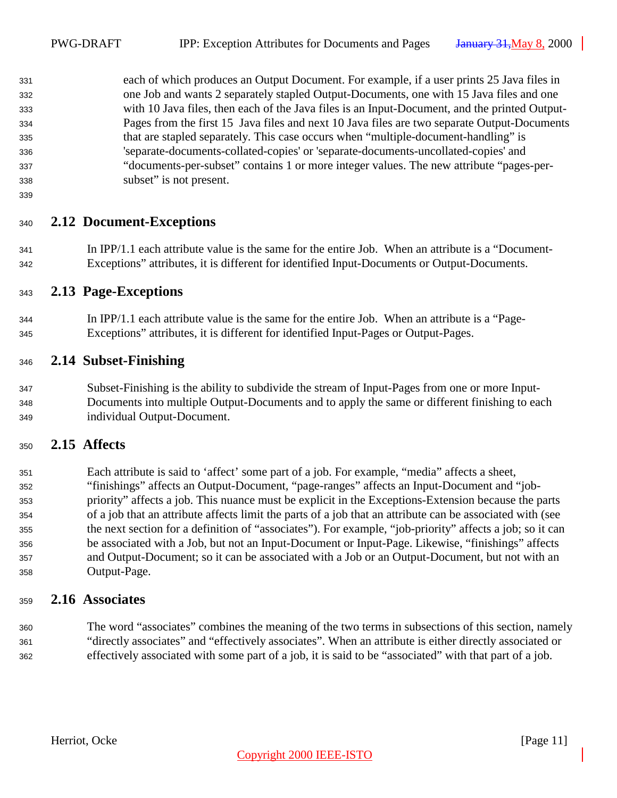<span id="page-10-0"></span> each of which produces an Output Document. For example, if a user prints 25 Java files in one Job and wants 2 separately stapled Output-Documents, one with 15 Java files and one with 10 Java files, then each of the Java files is an Input-Document, and the printed Output- Pages from the first 15 Java files and next 10 Java files are two separate Output-Documents that are stapled separately. This case occurs when "multiple-document-handling" is 'separate-documents-collated-copies' or 'separate-documents-uncollated-copies' and "documents-per-subset" contains 1 or more integer values. The new attribute "pages-per-subset" is not present.

## **2.12 Document-Exceptions**

- In IPP/1.1 each attribute value is the same for the entire Job. When an attribute is a "Document-Exceptions" attributes, it is different for identified Input-Documents or Output-Documents.
- **2.13 Page-Exceptions**
- In IPP/1.1 each attribute value is the same for the entire Job. When an attribute is a "Page-Exceptions" attributes, it is different for identified Input-Pages or Output-Pages.

### **2.14 Subset-Finishing**

 Subset-Finishing is the ability to subdivide the stream of Input-Pages from one or more Input- Documents into multiple Output-Documents and to apply the same or different finishing to each individual Output-Document.

## **2.15 Affects**

 Each attribute is said to 'affect' some part of a job. For example, "media" affects a sheet, "finishings" affects an Output-Document, "page-ranges" affects an Input-Document and "job- priority" affects a job. This nuance must be explicit in the Exceptions-Extension because the parts of a job that an attribute affects limit the parts of a job that an attribute can be associated with (see the next section for a definition of "associates"). For example, "job-priority" affects a job; so it can be associated with a Job, but not an Input-Document or Input-Page. Likewise, "finishings" affects and Output-Document; so it can be associated with a Job or an Output-Document, but not with an Output-Page.

## **2.16 Associates**

 The word "associates" combines the meaning of the two terms in subsections of this section, namely "directly associates" and "effectively associates". When an attribute is either directly associated or effectively associated with some part of a job, it is said to be "associated" with that part of a job.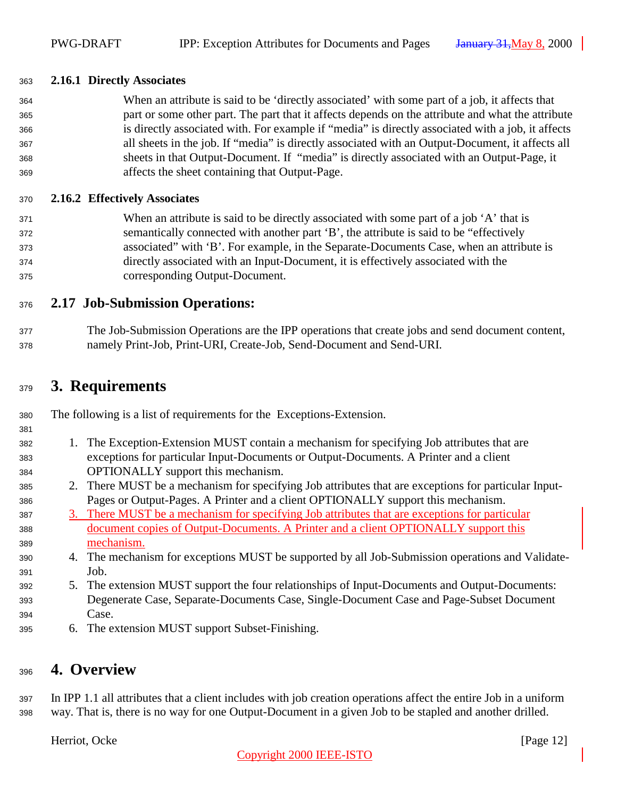#### <span id="page-11-0"></span>**2.16.1 Directly Associates**

 When an attribute is said to be 'directly associated' with some part of a job, it affects that part or some other part. The part that it affects depends on the attribute and what the attribute is directly associated with. For example if "media" is directly associated with a job, it affects all sheets in the job. If "media" is directly associated with an Output-Document, it affects all sheets in that Output-Document. If "media" is directly associated with an Output-Page, it affects the sheet containing that Output-Page.

#### **2.16.2 Effectively Associates**

 When an attribute is said to be directly associated with some part of a job 'A' that is semantically connected with another part 'B', the attribute is said to be "effectively associated" with 'B'. For example, in the Separate-Documents Case, when an attribute is directly associated with an Input-Document, it is effectively associated with the corresponding Output-Document.

## **2.17 Job-Submission Operations:**

 The Job-Submission Operations are the IPP operations that create jobs and send document content, namely Print-Job, Print-URI, Create-Job, Send-Document and Send-URI.

## **3. Requirements**

The following is a list of requirements for the Exceptions-Extension.

- 
- 1. The Exception-Extension MUST contain a mechanism for specifying Job attributes that are exceptions for particular Input-Documents or Output-Documents. A Printer and a client OPTIONALLY support this mechanism.
- 2. There MUST be a mechanism for specifying Job attributes that are exceptions for particular Input-Pages or Output-Pages. A Printer and a client OPTIONALLY support this mechanism.
- 3. There MUST be a mechanism for specifying Job attributes that are exceptions for particular document copies of Output-Documents. A Printer and a client OPTIONALLY support this mechanism.
- 4. The mechanism for exceptions MUST be supported by all Job-Submission operations and Validate-Job.
- 5. The extension MUST support the four relationships of Input-Documents and Output-Documents: Degenerate Case, Separate-Documents Case, Single-Document Case and Page-Subset Document Case.
- 6. The extension MUST support Subset-Finishing.

## **4. Overview**

 In IPP 1.1 all attributes that a client includes with job creation operations affect the entire Job in a uniform way. That is, there is no way for one Output-Document in a given Job to be stapled and another drilled.

Herriot, Ocke [Page 12]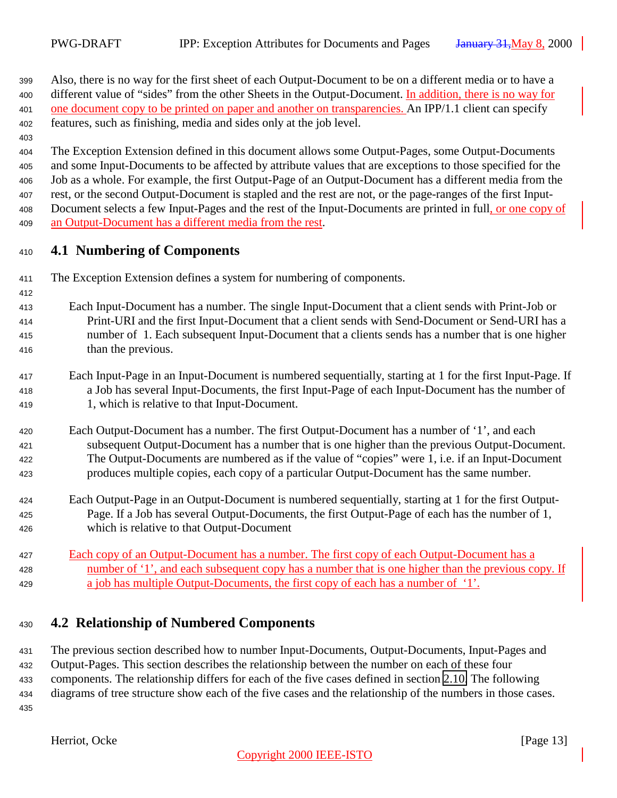<span id="page-12-0"></span> Also, there is no way for the first sheet of each Output-Document to be on a different media or to have a 400 different value of "sides" from the other Sheets in the Output-Document. In addition, there is no way for one document copy to be printed on paper and another on transparencies. An IPP/1.1 client can specify features, such as finishing, media and sides only at the job level.

### The Exception Extension defined in this document allows some Output-Pages, some Output-Documents and some Input-Documents to be affected by attribute values that are exceptions to those specified for the Job as a whole. For example, the first Output-Page of an Output-Document has a different media from the rest, or the second Output-Document is stapled and the rest are not, or the page-ranges of the first Input- Document selects a few Input-Pages and the rest of the Input-Documents are printed in full, or one copy of an Output-Document has a different media from the rest.

## **4.1 Numbering of Components**

The Exception Extension defines a system for numbering of components.

 Each Input-Document has a number. The single Input-Document that a client sends with Print-Job or Print-URI and the first Input-Document that a client sends with Send-Document or Send-URI has a number of 1. Each subsequent Input-Document that a clients sends has a number that is one higher than the previous.

- Each Input-Page in an Input-Document is numbered sequentially, starting at 1 for the first Input-Page. If a Job has several Input-Documents, the first Input-Page of each Input-Document has the number of 1, which is relative to that Input-Document.
- Each Output-Document has a number. The first Output-Document has a number of '1', and each subsequent Output-Document has a number that is one higher than the previous Output-Document. The Output-Documents are numbered as if the value of "copies" were 1, i.e. if an Input-Document produces multiple copies, each copy of a particular Output-Document has the same number.
- Each Output-Page in an Output-Document is numbered sequentially, starting at 1 for the first Output- Page. If a Job has several Output-Documents, the first Output-Page of each has the number of 1, which is relative to that Output-Document
- Each copy of an Output-Document has a number. The first copy of each Output-Document has a number of '1', and each subsequent copy has a number that is one higher than the previous copy. If a job has multiple Output-Documents, the first copy of each has a number of '1'.

## **4.2 Relationship of Numbered Components**

 The previous section described how to number Input-Documents, Output-Documents, Input-Pages and Output-Pages. This section describes the relationship between the number on each of these four components. The relationship differs for each of the five cases defined in section [2.10.](#page-7-0) The following diagrams of tree structure show each of the five cases and the relationship of the numbers in those cases.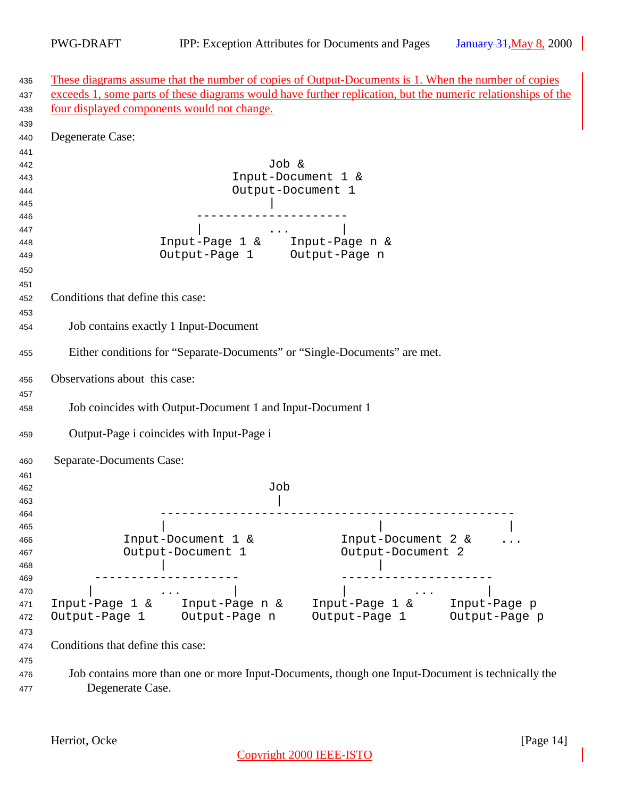| These diagrams assume that the number of copies of Output-Documents is 1. When the number of copies                                                                                                                                                                                                                                                                                                                                                         |  |
|-------------------------------------------------------------------------------------------------------------------------------------------------------------------------------------------------------------------------------------------------------------------------------------------------------------------------------------------------------------------------------------------------------------------------------------------------------------|--|
| exceeds 1, some parts of these diagrams would have further replication, but the numeric relationships of the                                                                                                                                                                                                                                                                                                                                                |  |
| four displayed components would not change.                                                                                                                                                                                                                                                                                                                                                                                                                 |  |
|                                                                                                                                                                                                                                                                                                                                                                                                                                                             |  |
| Degenerate Case:                                                                                                                                                                                                                                                                                                                                                                                                                                            |  |
|                                                                                                                                                                                                                                                                                                                                                                                                                                                             |  |
| Job &                                                                                                                                                                                                                                                                                                                                                                                                                                                       |  |
| Input-Document 1 &                                                                                                                                                                                                                                                                                                                                                                                                                                          |  |
| Output-Document 1                                                                                                                                                                                                                                                                                                                                                                                                                                           |  |
|                                                                                                                                                                                                                                                                                                                                                                                                                                                             |  |
|                                                                                                                                                                                                                                                                                                                                                                                                                                                             |  |
| $\mathcal{L}(\mathcal{L}(\mathcal{L}(\mathcal{L}(\mathcal{L}(\mathcal{L}(\mathcal{L}(\mathcal{L}(\mathcal{L}(\mathcal{L}(\mathcal{L}(\mathcal{L}(\mathcal{L}(\mathcal{L}(\mathcal{L}(\mathcal{L}(\mathcal{L}(\mathcal{L}(\mathcal{L}(\mathcal{L}(\mathcal{L}(\mathcal{L}(\mathcal{L}(\mathcal{L}(\mathcal{L}(\mathcal{L}(\mathcal{L}(\mathcal{L}(\mathcal{L}(\mathcal{L}(\mathcal{L}(\mathcal{L}(\mathcal{L}(\mathcal{L}(\mathcal{L}(\mathcal{L}(\mathcal{$ |  |
| Input-Page 1 & Input-Page n &<br>Output-Page 1 Output-Page n                                                                                                                                                                                                                                                                                                                                                                                                |  |
|                                                                                                                                                                                                                                                                                                                                                                                                                                                             |  |
|                                                                                                                                                                                                                                                                                                                                                                                                                                                             |  |
| Conditions that define this case:                                                                                                                                                                                                                                                                                                                                                                                                                           |  |
|                                                                                                                                                                                                                                                                                                                                                                                                                                                             |  |
| Job contains exactly 1 Input-Document                                                                                                                                                                                                                                                                                                                                                                                                                       |  |
|                                                                                                                                                                                                                                                                                                                                                                                                                                                             |  |
| Either conditions for "Separate-Documents" or "Single-Documents" are met.                                                                                                                                                                                                                                                                                                                                                                                   |  |
| Observations about this case:                                                                                                                                                                                                                                                                                                                                                                                                                               |  |
|                                                                                                                                                                                                                                                                                                                                                                                                                                                             |  |
| Job coincides with Output-Document 1 and Input-Document 1                                                                                                                                                                                                                                                                                                                                                                                                   |  |
| Output-Page i coincides with Input-Page i                                                                                                                                                                                                                                                                                                                                                                                                                   |  |
| Separate-Documents Case:                                                                                                                                                                                                                                                                                                                                                                                                                                    |  |
|                                                                                                                                                                                                                                                                                                                                                                                                                                                             |  |
| Job                                                                                                                                                                                                                                                                                                                                                                                                                                                         |  |
|                                                                                                                                                                                                                                                                                                                                                                                                                                                             |  |
|                                                                                                                                                                                                                                                                                                                                                                                                                                                             |  |
|                                                                                                                                                                                                                                                                                                                                                                                                                                                             |  |
| Input-Document 1 &<br>Input-Document 2 &                                                                                                                                                                                                                                                                                                                                                                                                                    |  |
| Output-Document 1<br>Output-Document 2                                                                                                                                                                                                                                                                                                                                                                                                                      |  |
|                                                                                                                                                                                                                                                                                                                                                                                                                                                             |  |
|                                                                                                                                                                                                                                                                                                                                                                                                                                                             |  |
| Input-Page 1 & Input-Page p<br>Input-Page 1 & Input-Page n &                                                                                                                                                                                                                                                                                                                                                                                                |  |
| Output-Page 1 Output-Page n<br>Output-Page 1 Output-Page p                                                                                                                                                                                                                                                                                                                                                                                                  |  |
|                                                                                                                                                                                                                                                                                                                                                                                                                                                             |  |
| Conditions that define this case:                                                                                                                                                                                                                                                                                                                                                                                                                           |  |
|                                                                                                                                                                                                                                                                                                                                                                                                                                                             |  |
| Job contains more than one or more Input-Documents, though one Input-Document is technically the                                                                                                                                                                                                                                                                                                                                                            |  |
| Degenerate Case.                                                                                                                                                                                                                                                                                                                                                                                                                                            |  |
|                                                                                                                                                                                                                                                                                                                                                                                                                                                             |  |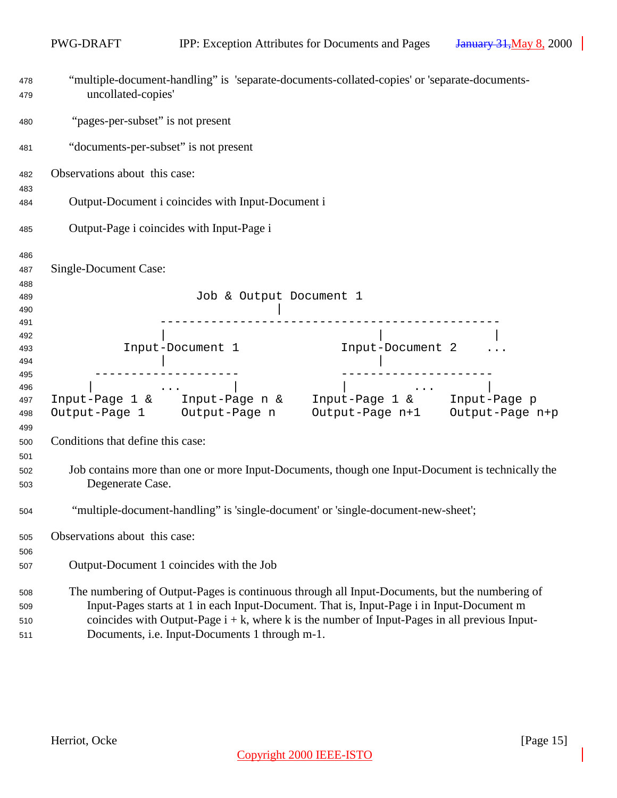|            | PWG-DRAFT                                                                                                                                                                                     |                                                   | IPP: Exception Attributes for Documents and Pages                                                | <b>January 31, May 8, 2000</b> |
|------------|-----------------------------------------------------------------------------------------------------------------------------------------------------------------------------------------------|---------------------------------------------------|--------------------------------------------------------------------------------------------------|--------------------------------|
| 478<br>479 | uncollated-copies'                                                                                                                                                                            |                                                   | "multiple-document-handling" is 'separate-documents-collated-copies' or 'separate-documents-     |                                |
| 480        | "pages-per-subset" is not present                                                                                                                                                             |                                                   |                                                                                                  |                                |
| 481        | "documents-per-subset" is not present                                                                                                                                                         |                                                   |                                                                                                  |                                |
| 482        | Observations about this case:                                                                                                                                                                 |                                                   |                                                                                                  |                                |
| 483        |                                                                                                                                                                                               |                                                   |                                                                                                  |                                |
| 484        |                                                                                                                                                                                               | Output-Document i coincides with Input-Document i |                                                                                                  |                                |
| 485        |                                                                                                                                                                                               | Output-Page i coincides with Input-Page i         |                                                                                                  |                                |
| 486        |                                                                                                                                                                                               |                                                   |                                                                                                  |                                |
| 487        | Single-Document Case:                                                                                                                                                                         |                                                   |                                                                                                  |                                |
| 488        |                                                                                                                                                                                               |                                                   |                                                                                                  |                                |
| 489        |                                                                                                                                                                                               | Job & Output Document 1                           |                                                                                                  |                                |
| 490        |                                                                                                                                                                                               |                                                   |                                                                                                  |                                |
| 491        |                                                                                                                                                                                               |                                                   |                                                                                                  |                                |
| 492        |                                                                                                                                                                                               |                                                   | <br>Input-Document 2                                                                             |                                |
| 493        |                                                                                                                                                                                               | Input-Document 1                                  |                                                                                                  |                                |
| 494        |                                                                                                                                                                                               |                                                   |                                                                                                  |                                |
| 495        |                                                                                                                                                                                               |                                                   |                                                                                                  |                                |
| 496<br>497 |                                                                                                                                                                                               |                                                   |                                                                                                  |                                |
| 498        |                                                                                                                                                                                               |                                                   | Output-Page 1 Output-Page n Output-Page n+1 Output-Page n+p                                      |                                |
|            |                                                                                                                                                                                               |                                                   |                                                                                                  |                                |
| 499        | Conditions that define this case:                                                                                                                                                             |                                                   |                                                                                                  |                                |
| 500        |                                                                                                                                                                                               |                                                   |                                                                                                  |                                |
| 501        |                                                                                                                                                                                               |                                                   |                                                                                                  |                                |
| 502        |                                                                                                                                                                                               |                                                   | Job contains more than one or more Input-Documents, though one Input-Document is technically the |                                |
| 503        | Degenerate Case.                                                                                                                                                                              |                                                   |                                                                                                  |                                |
| 504        |                                                                                                                                                                                               |                                                   | "multiple-document-handling" is 'single-document' or 'single-document-new-sheet';                |                                |
| 505        | Observations about this case:                                                                                                                                                                 |                                                   |                                                                                                  |                                |
| 506        |                                                                                                                                                                                               |                                                   |                                                                                                  |                                |
| 507        |                                                                                                                                                                                               | Output-Document 1 coincides with the Job          |                                                                                                  |                                |
| 508        |                                                                                                                                                                                               |                                                   | The numbering of Output-Pages is continuous through all Input-Documents, but the numbering of    |                                |
| 509        |                                                                                                                                                                                               |                                                   |                                                                                                  |                                |
|            | Input-Pages starts at 1 in each Input-Document. That is, Input-Page i in Input-Document m<br>coincides with Output-Page $i + k$ , where k is the number of Input-Pages in all previous Input- |                                                   |                                                                                                  |                                |
| 510        |                                                                                                                                                                                               | Documents, i.e. Input-Documents 1 through m-1.    |                                                                                                  |                                |
| 511        |                                                                                                                                                                                               |                                                   |                                                                                                  |                                |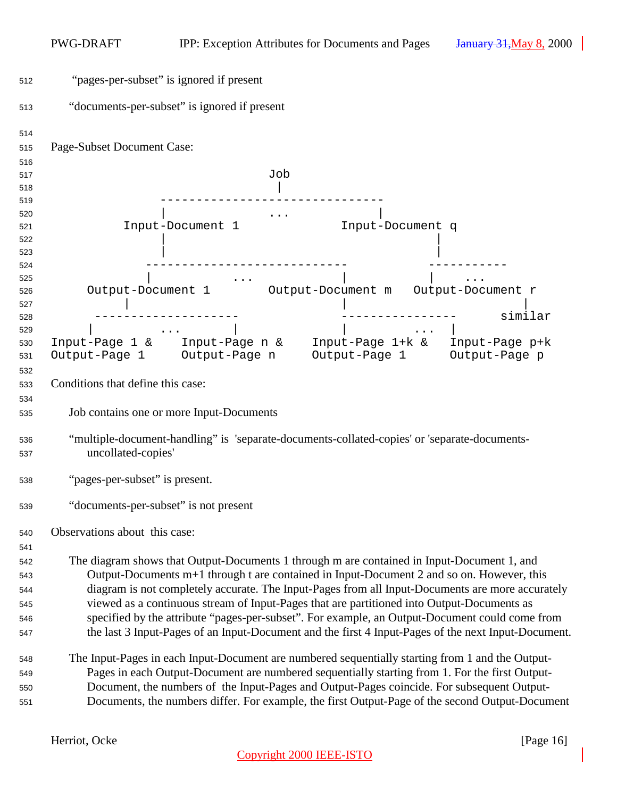| 512        | "pages-per-subset" is ignored if present                                                                           |
|------------|--------------------------------------------------------------------------------------------------------------------|
| 513        | "documents-per-subset" is ignored if present                                                                       |
| 514<br>515 | Page-Subset Document Case:                                                                                         |
| 516        | Job                                                                                                                |
| 517        |                                                                                                                    |
| 518<br>519 |                                                                                                                    |
| 520        | $\cdots$                                                                                                           |
| 521        | Input-Document 1<br>Input-Document q                                                                               |
| 522        |                                                                                                                    |
| 523        |                                                                                                                    |
| 524        |                                                                                                                    |
| 525        | $\mathbf{z} \cdot \mathbf{z}$ , and $\mathbf{z} \cdot \mathbf{z}$ , and $\mathbf{z} \cdot \mathbf{z}$              |
| 526        | Output-Document 1 Output-Document m Output-Document r                                                              |
| 527        |                                                                                                                    |
| 528        | similar                                                                                                            |
| 529        |                                                                                                                    |
| 530        | Input-Page 1 & Input-Page n & Input-Page 1+k & Input-Page p+k                                                      |
| 531        | Output-Page 1 Output-Page n Output-Page 1 Output-Page p                                                            |
| 532        |                                                                                                                    |
| 533        | Conditions that define this case:                                                                                  |
| 534        |                                                                                                                    |
| 535        | Job contains one or more Input-Documents                                                                           |
|            |                                                                                                                    |
| 536        | "multiple-document-handling" is 'separate-documents-collated-copies' or 'separate-documents-<br>uncollated-copies' |
| 537        |                                                                                                                    |
| 538        | "pages-per-subset" is present.                                                                                     |
| 539        | "documents-per-subset" is not present                                                                              |
| 540        | Observations about this case:                                                                                      |
| 541        |                                                                                                                    |
| 542        | The diagram shows that Output-Documents 1 through m are contained in Input-Document 1, and                         |
| 543        | Output-Documents m+1 through t are contained in Input-Document 2 and so on. However, this                          |
| 544        | diagram is not completely accurate. The Input-Pages from all Input-Documents are more accurately                   |
| 545        | viewed as a continuous stream of Input-Pages that are partitioned into Output-Documents as                         |
| 546        | specified by the attribute "pages-per-subset". For example, an Output-Document could come from                     |
| 547        | the last 3 Input-Pages of an Input-Document and the first 4 Input-Pages of the next Input-Document.                |
| 548        | The Input-Pages in each Input-Document are numbered sequentially starting from 1 and the Output-                   |
| 549        | Pages in each Output-Document are numbered sequentially starting from 1. For the first Output-                     |
| 550        | Document, the numbers of the Input-Pages and Output-Pages coincide. For subsequent Output-                         |
| 551        | Documents, the numbers differ. For example, the first Output-Page of the second Output-Document                    |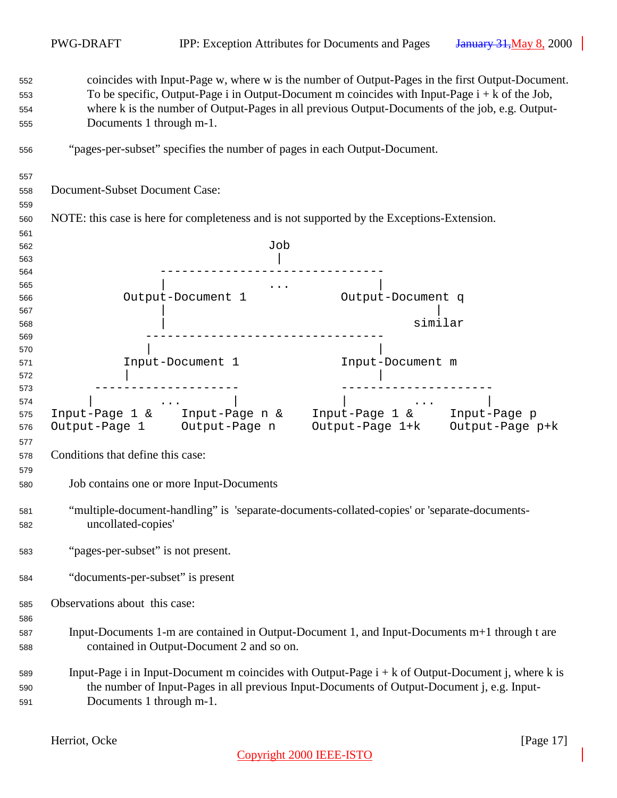| 552        | coincides with Input-Page w, where w is the number of Output-Pages in the first Output-Document.                                                                                                                                                                                                                                                                                                                                                                                                       |
|------------|--------------------------------------------------------------------------------------------------------------------------------------------------------------------------------------------------------------------------------------------------------------------------------------------------------------------------------------------------------------------------------------------------------------------------------------------------------------------------------------------------------|
| 553        | To be specific, Output-Page i in Output-Document m coincides with Input-Page $i + k$ of the Job,                                                                                                                                                                                                                                                                                                                                                                                                       |
| 554        | where k is the number of Output-Pages in all previous Output-Documents of the job, e.g. Output-                                                                                                                                                                                                                                                                                                                                                                                                        |
| 555        | Documents 1 through m-1.                                                                                                                                                                                                                                                                                                                                                                                                                                                                               |
|            |                                                                                                                                                                                                                                                                                                                                                                                                                                                                                                        |
| 556        | "pages-per-subset" specifies the number of pages in each Output-Document.                                                                                                                                                                                                                                                                                                                                                                                                                              |
| 557        |                                                                                                                                                                                                                                                                                                                                                                                                                                                                                                        |
| 558        | Document-Subset Document Case:                                                                                                                                                                                                                                                                                                                                                                                                                                                                         |
| 559        |                                                                                                                                                                                                                                                                                                                                                                                                                                                                                                        |
| 560        | NOTE: this case is here for completeness and is not supported by the Exceptions-Extension.                                                                                                                                                                                                                                                                                                                                                                                                             |
|            |                                                                                                                                                                                                                                                                                                                                                                                                                                                                                                        |
| 561<br>562 | Job                                                                                                                                                                                                                                                                                                                                                                                                                                                                                                    |
| 563        |                                                                                                                                                                                                                                                                                                                                                                                                                                                                                                        |
|            |                                                                                                                                                                                                                                                                                                                                                                                                                                                                                                        |
| 564<br>565 |                                                                                                                                                                                                                                                                                                                                                                                                                                                                                                        |
| 566        | $\mathcal{L}(\mathbf{z},\mathbf{z},\mathbf{z})$ . The set of $\mathcal{L}(\mathbf{z},\mathbf{z})$<br>Output-Document 1<br>Output-Document q                                                                                                                                                                                                                                                                                                                                                            |
| 567        |                                                                                                                                                                                                                                                                                                                                                                                                                                                                                                        |
|            | similar                                                                                                                                                                                                                                                                                                                                                                                                                                                                                                |
| 568<br>569 |                                                                                                                                                                                                                                                                                                                                                                                                                                                                                                        |
| 570        |                                                                                                                                                                                                                                                                                                                                                                                                                                                                                                        |
| 571        | Input-Document 1<br>Input-Document m                                                                                                                                                                                                                                                                                                                                                                                                                                                                   |
| 572        |                                                                                                                                                                                                                                                                                                                                                                                                                                                                                                        |
| 573        |                                                                                                                                                                                                                                                                                                                                                                                                                                                                                                        |
| 574        | and the contract of the contract of the<br>$\mathcal{L}(\mathcal{L}(\mathcal{L}(\mathcal{L}(\mathcal{L}(\mathcal{L}(\mathcal{L}(\mathcal{L}(\mathcal{L}(\mathcal{L}(\mathcal{L}(\mathcal{L}(\mathcal{L}(\mathcal{L}(\mathcal{L}(\mathcal{L}(\mathcal{L}(\mathcal{L}(\mathcal{L}(\mathcal{L}(\mathcal{L}(\mathcal{L}(\mathcal{L}(\mathcal{L}(\mathcal{L}(\mathcal{L}(\mathcal{L}(\mathcal{L}(\mathcal{L}(\mathcal{L}(\mathcal{L}(\mathcal{L}(\mathcal{L}(\mathcal{L}(\mathcal{L}(\mathcal{L}(\mathcal{$ |
| 575        | Input-Page 1 & Input-Page n & Input-Page 1 & Input-Page p                                                                                                                                                                                                                                                                                                                                                                                                                                              |
| 576        | Output-Page 1+k Output-Page p+k<br>Output-Page 1 Output-Page n                                                                                                                                                                                                                                                                                                                                                                                                                                         |
| 577        |                                                                                                                                                                                                                                                                                                                                                                                                                                                                                                        |
|            | Conditions that define this case:                                                                                                                                                                                                                                                                                                                                                                                                                                                                      |
| 578        |                                                                                                                                                                                                                                                                                                                                                                                                                                                                                                        |
| 579        |                                                                                                                                                                                                                                                                                                                                                                                                                                                                                                        |
| 580        | Job contains one or more Input-Documents                                                                                                                                                                                                                                                                                                                                                                                                                                                               |
|            |                                                                                                                                                                                                                                                                                                                                                                                                                                                                                                        |
| 581        | "multiple-document-handling" is 'separate-documents-collated-copies' or 'separate-documents-                                                                                                                                                                                                                                                                                                                                                                                                           |
| 582        | uncollated-copies'                                                                                                                                                                                                                                                                                                                                                                                                                                                                                     |
| 583        | "pages-per-subset" is not present.                                                                                                                                                                                                                                                                                                                                                                                                                                                                     |
|            |                                                                                                                                                                                                                                                                                                                                                                                                                                                                                                        |
| 584        | "documents-per-subset" is present                                                                                                                                                                                                                                                                                                                                                                                                                                                                      |
|            |                                                                                                                                                                                                                                                                                                                                                                                                                                                                                                        |
| 585        | Observations about this case:                                                                                                                                                                                                                                                                                                                                                                                                                                                                          |
| 586        |                                                                                                                                                                                                                                                                                                                                                                                                                                                                                                        |
| 587        | Input-Documents 1-m are contained in Output-Document 1, and Input-Documents m+1 through t are                                                                                                                                                                                                                                                                                                                                                                                                          |
| 588        | contained in Output-Document 2 and so on.                                                                                                                                                                                                                                                                                                                                                                                                                                                              |
|            |                                                                                                                                                                                                                                                                                                                                                                                                                                                                                                        |
| 589        | Input-Page i in Input-Document m coincides with Output-Page $i + k$ of Output-Document j, where k is                                                                                                                                                                                                                                                                                                                                                                                                   |
| 590        | the number of Input-Pages in all previous Input-Documents of Output-Document j, e.g. Input-                                                                                                                                                                                                                                                                                                                                                                                                            |
| 591        | Documents 1 through m-1.                                                                                                                                                                                                                                                                                                                                                                                                                                                                               |
|            |                                                                                                                                                                                                                                                                                                                                                                                                                                                                                                        |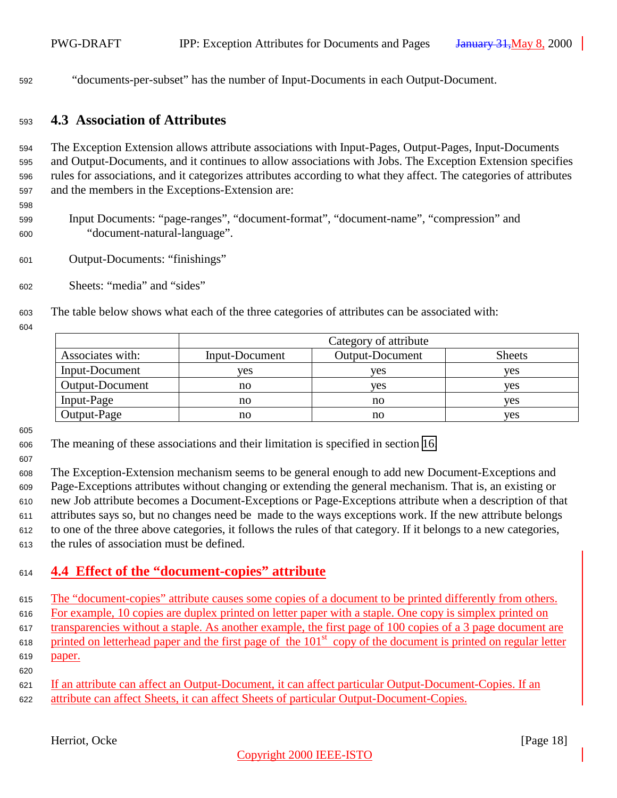<span id="page-17-0"></span>"documents-per-subset" has the number of Input-Documents in each Output-Document.

### **4.3 Association of Attributes**

 The Exception Extension allows attribute associations with Input-Pages, Output-Pages, Input-Documents and Output-Documents, and it continues to allow associations with Jobs. The Exception Extension specifies rules for associations, and it categorizes attributes according to what they affect. The categories of attributes and the members in the Exceptions-Extension are:

 Input Documents: "page-ranges", "document-format", "document-name", "compression" and "document-natural-language".

- Output-Documents: "finishings"
- Sheets: "media" and "sides"
- The table below shows what each of the three categories of attributes can be associated with:
- 

|                        | Category of attribute |                        |               |
|------------------------|-----------------------|------------------------|---------------|
| Associates with:       | Input-Document        | <b>Output-Document</b> | <b>Sheets</b> |
| Input-Document         | ves                   | yes                    | ves           |
| <b>Output-Document</b> | no                    | yes                    | ves           |
| Input-Page             | no                    | no                     | ves           |
| Output-Page            | no                    | no                     | ves           |

- The meaning of these associations and their limitation is specified in section [16.](#page-43-0)
- 

 The Exception-Extension mechanism seems to be general enough to add new Document-Exceptions and Page-Exceptions attributes without changing or extending the general mechanism. That is, an existing or new Job attribute becomes a Document-Exceptions or Page-Exceptions attribute when a description of that attributes says so, but no changes need be made to the ways exceptions work. If the new attribute belongs to one of the three above categories, it follows the rules of that category. If it belongs to a new categories, the rules of association must be defined.

## **4.4 Effect of the "document-copies" attribute**

 The "document-copies" attribute causes some copies of a document to be printed differently from others. For example, 10 copies are duplex printed on letter paper with a staple. One copy is simplex printed on transparencies without a staple. As another example, the first page of 100 copies of a 3 page document are  $\mu$  printed on letterhead paper and the first page of the 101<sup>st</sup> copy of the document is printed on regular letter paper. 

 If an attribute can affect an Output-Document, it can affect particular Output-Document-Copies. If an attribute can affect Sheets, it can affect Sheets of particular Output-Document-Copies.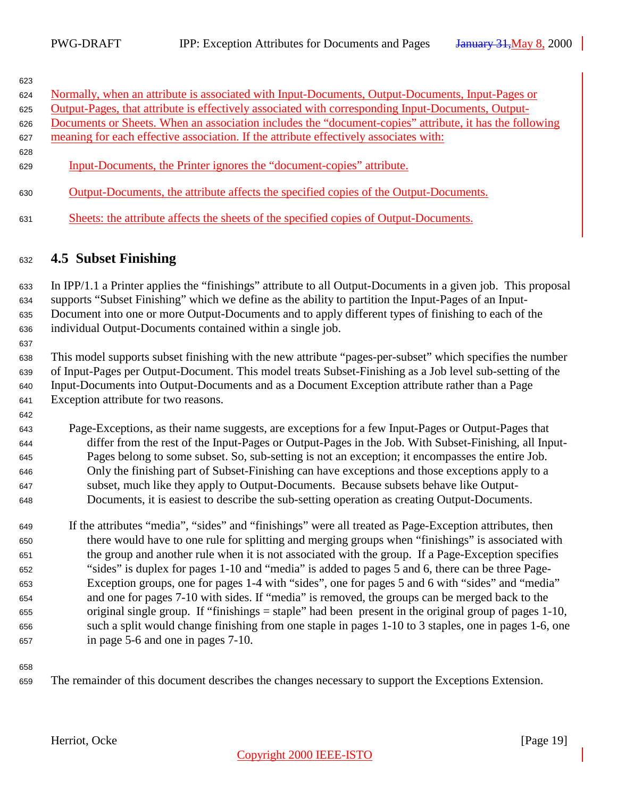<span id="page-18-0"></span>

| 623 |                                                                                                         |
|-----|---------------------------------------------------------------------------------------------------------|
| 624 | Normally, when an attribute is associated with Input-Documents, Output-Documents, Input-Pages or        |
| 625 | Output-Pages, that attribute is effectively associated with corresponding Input-Documents, Output-      |
| 626 | Documents or Sheets. When an association includes the "document-copies" attribute, it has the following |
| 627 | meaning for each effective association. If the attribute effectively associates with:                   |
| 628 |                                                                                                         |
| 629 | Input-Documents, the Printer ignores the "document-copies" attribute.                                   |
| 630 | Output-Documents, the attribute affects the specified copies of the Output-Documents.                   |
| 631 | Sheets: the attribute affects the sheets of the specified copies of Output-Documents.                   |

## **4.5 Subset Finishing**

 In IPP/1.1 a Printer applies the "finishings" attribute to all Output-Documents in a given job. This proposal supports "Subset Finishing" which we define as the ability to partition the Input-Pages of an Input- Document into one or more Output-Documents and to apply different types of finishing to each of the individual Output-Documents contained within a single job.

 This model supports subset finishing with the new attribute "pages-per-subset" which specifies the number of Input-Pages per Output-Document. This model treats Subset-Finishing as a Job level sub-setting of the Input-Documents into Output-Documents and as a Document Exception attribute rather than a Page Exception attribute for two reasons.

 Page-Exceptions, as their name suggests, are exceptions for a few Input-Pages or Output-Pages that differ from the rest of the Input-Pages or Output-Pages in the Job. With Subset-Finishing, all Input- Pages belong to some subset. So, sub-setting is not an exception; it encompasses the entire Job. Only the finishing part of Subset-Finishing can have exceptions and those exceptions apply to a subset, much like they apply to Output-Documents. Because subsets behave like Output-Documents, it is easiest to describe the sub-setting operation as creating Output-Documents.

 If the attributes "media", "sides" and "finishings" were all treated as Page-Exception attributes, then there would have to one rule for splitting and merging groups when "finishings" is associated with the group and another rule when it is not associated with the group. If a Page-Exception specifies "sides" is duplex for pages 1-10 and "media" is added to pages 5 and 6, there can be three Page- Exception groups, one for pages 1-4 with "sides", one for pages 5 and 6 with "sides" and "media" and one for pages 7-10 with sides. If "media" is removed, the groups can be merged back to the original single group. If "finishings = staple" had been present in the original group of pages 1-10, such a split would change finishing from one staple in pages 1-10 to 3 staples, one in pages 1-6, one in page 5-6 and one in pages 7-10.

The remainder of this document describes the changes necessary to support the Exceptions Extension.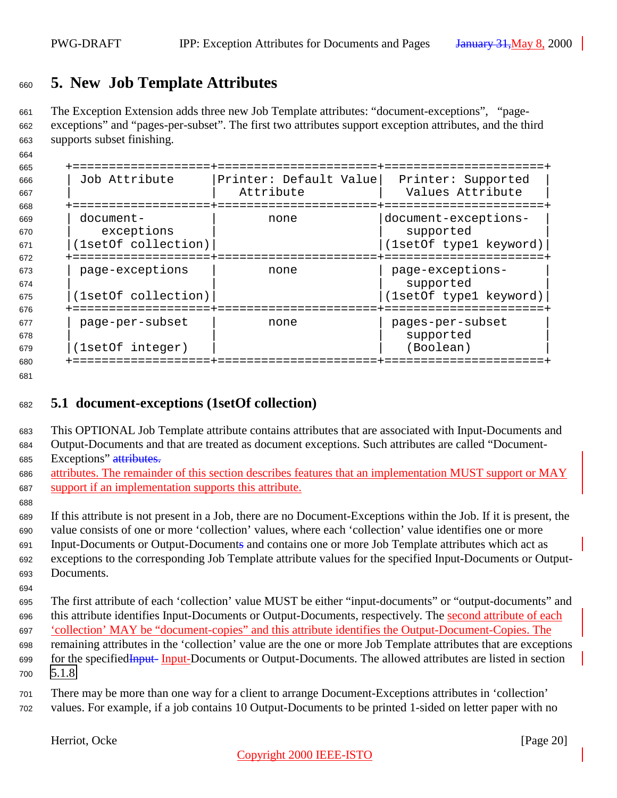## <span id="page-19-0"></span>**5. New Job Template Attributes**

 The Exception Extension adds three new Job Template attributes: "document-exceptions", "page- exceptions" and "pages-per-subset". The first two attributes support exception attributes, and the third supports subset finishing.

| 665<br>666<br>667 | ================+===<br>Job Attribute | Printer: Default Value<br>Attribute | ===============+================<br>Printer: Supported<br>Values Attribute |
|-------------------|---------------------------------------|-------------------------------------|----------------------------------------------------------------------------|
| 668               | ==============                        |                                     | =============                                                              |
| 669<br>670        | document-<br>exceptions               | none                                | document-exceptions-<br>supported                                          |
| 671               | (1setOf collection)                   |                                     | (1setOf type1 keyword)                                                     |
| 672               |                                       |                                     |                                                                            |
| 673<br>674        | page-exceptions                       | none                                | page-exceptions-<br>supported                                              |
| 675               | (1setOf collection)                   |                                     | (1setOf type1 keyword)                                                     |
| 676               |                                       |                                     |                                                                            |
| 677               | page-per-subset                       | none                                | pages-per-subset                                                           |
| 678               |                                       |                                     | supported                                                                  |
| 679               | (1setOf integer)                      |                                     | (Boolean)                                                                  |
| 680               |                                       |                                     |                                                                            |

#### 

## **5.1 document-exceptions (1setOf collection)**

 This OPTIONAL Job Template attribute contains attributes that are associated with Input-Documents and Output-Documents and that are treated as document exceptions. Such attributes are called "Document-685 Exceptions" attributes.

- attributes. The remainder of this section describes features that an implementation MUST support or MAY support if an implementation supports this attribute.
- If this attribute is not present in a Job, there are no Document-Exceptions within the Job. If it is present, the value consists of one or more 'collection' values, where each 'collection' value identifies one or more Input-Documents or Output-Documents and contains one or more Job Template attributes which act as exceptions to the corresponding Job Template attribute values for the specified Input-Documents or Output-Documents.
- 

 The first attribute of each 'collection' value MUST be either "input-documents" or "output-documents" and this attribute identifies Input-Documents or Output-Documents, respectively. The second attribute of each 'collection' MAY be "document-copies" and this attribute identifies the Output-Document-Copies. The remaining attributes in the 'collection' value are the one or more Job Template attributes that are exceptions for the specifiedInput- Input-Documents or Output-Documents. The allowed attributes are listed in section [5.1.8](#page-25-0)

 There may be more than one way for a client to arrange Document-Exceptions attributes in 'collection' values. For example, if a job contains 10 Output-Documents to be printed 1-sided on letter paper with no

Herriot, Ocke [Page 20]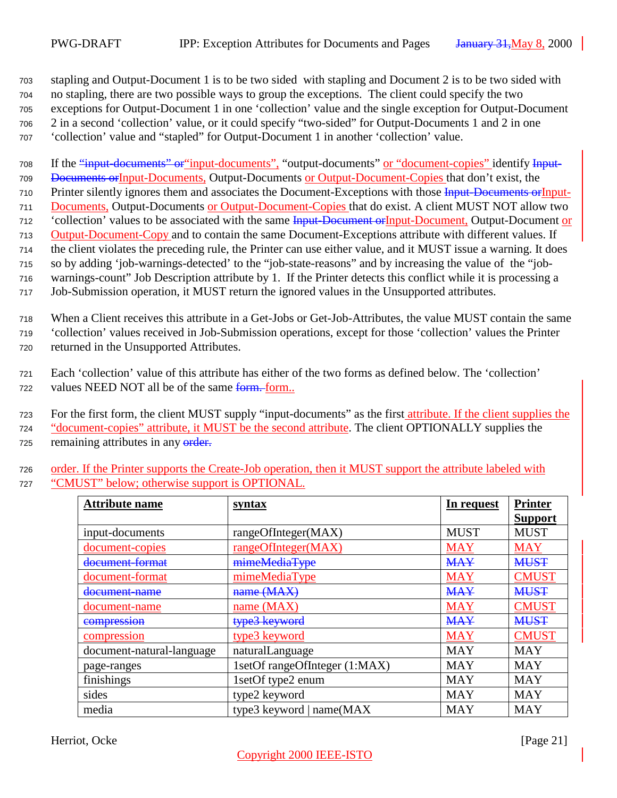stapling and Output-Document 1 is to be two sided with stapling and Document 2 is to be two sided with no stapling, there are two possible ways to group the exceptions. The client could specify the two exceptions for Output-Document 1 in one 'collection' value and the single exception for Output-Document 2 in a second 'collection' value, or it could specify "two-sided" for Output-Documents 1 and 2 in one 'collection' value and "stapled" for Output-Document 1 in another 'collection' value.

708 If the "input-documents" or "input-documents", "output-documents" or "document-copies" identify Input- Documents orInput-Documents, Output-Documents or Output-Document-Copies that don't exist, the 710 Printer silently ignores them and associates the Document-Exceptions with those Input-Documents or Input- Documents, Output-Documents or Output-Document-Copies that do exist. A client MUST NOT allow two <sup>712</sup> 'collection' values to be associated with the same **Input-Document or Input-Document**, Output-Document or Output-Document-Copy and to contain the same Document-Exceptions attribute with different values. If the client violates the preceding rule, the Printer can use either value, and it MUST issue a warning. It does so by adding 'job-warnings-detected' to the "job-state-reasons" and by increasing the value of the "job-warnings-count" Job Description attribute by 1. If the Printer detects this conflict while it is processing a

<sup>717</sup> Job-Submission operation, it MUST return the ignored values in the Unsupported attributes.

<sup>718</sup> When a Client receives this attribute in a Get-Jobs or Get-Job-Attributes, the value MUST contain the same <sup>719</sup> 'collection' values received in Job-Submission operations, except for those 'collection' values the Printer <sup>720</sup> returned in the Unsupported Attributes.

<sup>721</sup> Each 'collection' value of this attribute has either of the two forms as defined below. The 'collection' <sup>722</sup> values NEED NOT all be of the same form. form..

723 For the first form, the client MUST supply "input-documents" as the first attribute. If the client supplies the <sup>724</sup> "document-copies" attribute, it MUST be the second attribute. The client OPTIONALLY supplies the 725 remaining attributes in any order.

<sup>726</sup> order. If the Printer supports the Create-Job operation, then it MUST support the attribute labeled with <sup>727</sup> "CMUST" below; otherwise support is OPTIONAL.

| <b>Attribute name</b>     | syntax                        | In request  | <b>Printer</b> |
|---------------------------|-------------------------------|-------------|----------------|
|                           |                               |             | <b>Support</b> |
| input-documents           | rangeOfInteger(MAX)           | <b>MUST</b> | <b>MUST</b>    |
| document-copies           | rangeOfInteger(MAX)           | <b>MAY</b>  | <b>MAY</b>     |
| document format           | mimeMediaType                 | <b>MAY</b>  | <b>MUST</b>    |
| document-format           | mimeMediaType                 | <b>MAY</b>  | <b>CMUST</b>   |
| <del>document-name</del>  | name (MAX)                    | <b>MAY</b>  | <b>MUST</b>    |
| document-name             | name $(MAX)$                  | <b>MAY</b>  | <b>CMUST</b>   |
| compression               | type3 keyword                 | <b>MAY</b>  | <b>MUST</b>    |
| compression               | type3 keyword                 | <b>MAY</b>  | <b>CMUST</b>   |
| document-natural-language | naturalLanguage               | <b>MAY</b>  | <b>MAY</b>     |
| page-ranges               | 1setOf rangeOfInteger (1:MAX) | <b>MAY</b>  | <b>MAY</b>     |
| finishings                | 1setOf type2 enum             | <b>MAY</b>  | <b>MAY</b>     |
| sides                     | type2 keyword                 | <b>MAY</b>  | <b>MAY</b>     |
| media                     | type3 keyword   name(MAX      | <b>MAY</b>  | <b>MAY</b>     |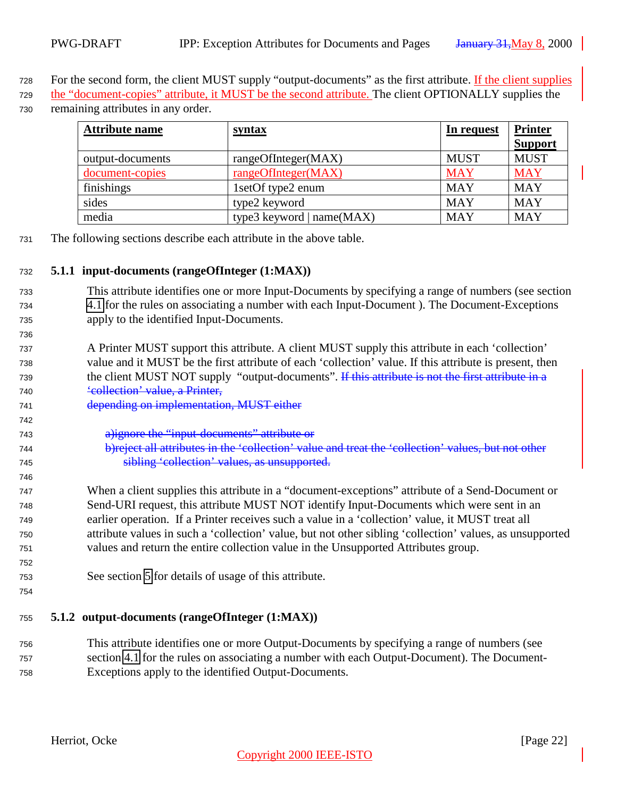<span id="page-21-0"></span>728 For the second form, the client MUST supply "output-documents" as the first attribute. If the client supplies

 the "document-copies" attribute, it MUST be the second attribute. The client OPTIONALLY supplies the remaining attributes in any order.

| <b>Attribute name</b> | <u>syntax</u>               | In request  | <b>Printer</b> |
|-----------------------|-----------------------------|-------------|----------------|
|                       |                             |             | <b>Support</b> |
| output-documents      | rangeOfInteger(MAX)         | <b>MUST</b> | <b>MUST</b>    |
| document-copies       | rangeOfInteger(MAX)         | <b>MAY</b>  | <b>MAY</b>     |
| finishings            | 1setOf type2 enum           | <b>MAY</b>  | <b>MAY</b>     |
| sides                 | type2 keyword               | <b>MAY</b>  | <b>MAY</b>     |
| media                 | type3 keyword $ name(MAX) $ | <b>MAY</b>  | <b>MAY</b>     |

The following sections describe each attribute in the above table.

#### **5.1.1 input-documents (rangeOfInteger (1:MAX))**

- This attribute identifies one or more Input-Documents by specifying a range of numbers (see section [4.1](#page-12-0) for the rules on associating a number with each Input-Document ). The Document-Exceptions apply to the identified Input-Documents.
- A Printer MUST support this attribute. A client MUST supply this attribute in each 'collection' value and it MUST be the first attribute of each 'collection' value. If this attribute is present, then 739 the client MUST NOT supply "output-documents". If this attribute is not the first attribute in a 'collection' value, a Printer,
- depending on implementation, MUST either
- a)ignore the "input-documents" attribute or
- b)reject all attributes in the 'collection' value and treat the 'collection' values, but not other sibling 'collection' values, as unsupported.
- When a client supplies this attribute in a "document-exceptions" attribute of a Send-Document or Send-URI request, this attribute MUST NOT identify Input-Documents which were sent in an earlier operation. If a Printer receives such a value in a 'collection' value, it MUST treat all attribute values in such a 'collection' value, but not other sibling 'collection' values, as unsupported values and return the entire collection value in the Unsupported Attributes group.
- See section [5](#page-19-0) for details of usage of this attribute.
- 

#### **5.1.2 output-documents (rangeOfInteger (1:MAX))**

 This attribute identifies one or more Output-Documents by specifying a range of numbers (see section [4.1](#page-12-0) for the rules on associating a number with each Output-Document). The Document-Exceptions apply to the identified Output-Documents.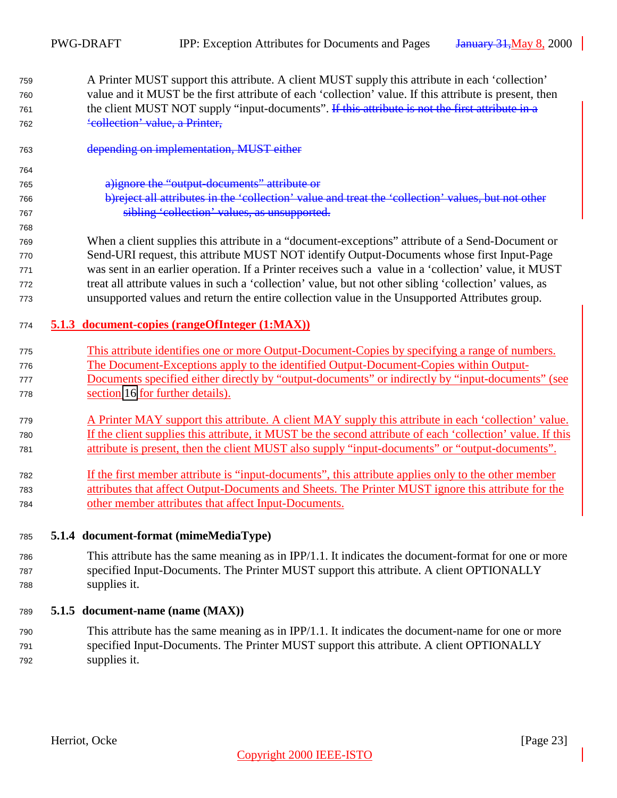- <span id="page-22-0"></span> A Printer MUST support this attribute. A client MUST supply this attribute in each 'collection' value and it MUST be the first attribute of each 'collection' value. If this attribute is present, then 761 the client MUST NOT supply "input-documents". If this attribute is not the first attribute in a 'collection' value, a Printer,
- depending on implementation, MUST either
- a)ignore the "output-documents" attribute or
- b)reject all attributes in the 'collection' value and treat the 'collection' values, but not other sibling 'collection' values, as unsupported.
- When a client supplies this attribute in a "document-exceptions" attribute of a Send-Document or Send-URI request, this attribute MUST NOT identify Output-Documents whose first Input-Page was sent in an earlier operation. If a Printer receives such a value in a 'collection' value, it MUST treat all attribute values in such a 'collection' value, but not other sibling 'collection' values, as unsupported values and return the entire collection value in the Unsupported Attributes group.
- **5.1.3 document-copies (rangeOfInteger (1:MAX))**
- This attribute identifies one or more Output-Document-Copies by specifying a range of numbers. The Document-Exceptions apply to the identified Output-Document-Copies within Output-
- Documents specified either directly by "output-documents" or indirectly by "input-documents" (see section [16](#page-43-0) for further details).
- A Printer MAY support this attribute. A client MAY supply this attribute in each 'collection' value. If the client supplies this attribute, it MUST be the second attribute of each 'collection' value. If this attribute is present, then the client MUST also supply "input-documents" or "output-documents".
- If the first member attribute is "input-documents", this attribute applies only to the other member attributes that affect Output-Documents and Sheets. The Printer MUST ignore this attribute for the other member attributes that affect Input-Documents.
- **5.1.4 document-format (mimeMediaType)**
- This attribute has the same meaning as in IPP/1.1. It indicates the document-format for one or more specified Input-Documents. The Printer MUST support this attribute. A client OPTIONALLY supplies it.

#### **5.1.5 document-name (name (MAX))**

 This attribute has the same meaning as in IPP/1.1. It indicates the document-name for one or more specified Input-Documents. The Printer MUST support this attribute. A client OPTIONALLY supplies it.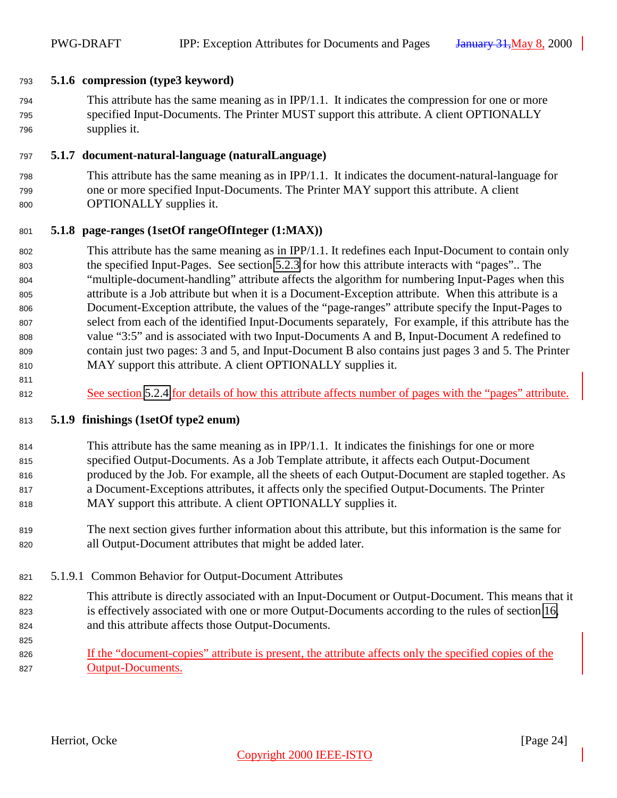#### <span id="page-23-0"></span>**5.1.6 compression (type3 keyword)**

 This attribute has the same meaning as in IPP/1.1. It indicates the compression for one or more specified Input-Documents. The Printer MUST support this attribute. A client OPTIONALLY supplies it.

#### **5.1.7 document-natural-language (naturalLanguage)**

 This attribute has the same meaning as in IPP/1.1. It indicates the document-natural-language for one or more specified Input-Documents. The Printer MAY support this attribute. A client OPTIONALLY supplies it.

#### **5.1.8 page-ranges (1setOf rangeOfInteger (1:MAX))**

- This attribute has the same meaning as in IPP/1.1. It redefines each Input-Document to contain only the specified Input-Pages. See section [5.2.3](#page-28-0) for how this attribute interacts with "pages".. The "multiple-document-handling" attribute affects the algorithm for numbering Input-Pages when this attribute is a Job attribute but when it is a Document-Exception attribute. When this attribute is a Document-Exception attribute, the values of the "page-ranges" attribute specify the Input-Pages to select from each of the identified Input-Documents separately, For example, if this attribute has the value "3:5" and is associated with two Input-Documents A and B, Input-Document A redefined to contain just two pages: 3 and 5, and Input-Document B also contains just pages 3 and 5. The Printer MAY support this attribute. A client OPTIONALLY supplies it.
- 812 See section [5.2.4](#page-28-0) for details of how this attribute affects number of pages with the "pages" attribute.

#### **5.1.9 finishings (1setOf type2 enum)**

- This attribute has the same meaning as in IPP/1.1. It indicates the finishings for one or more specified Output-Documents. As a Job Template attribute, it affects each Output-Document produced by the Job. For example, all the sheets of each Output-Document are stapled together. As a Document-Exceptions attributes, it affects only the specified Output-Documents. The Printer MAY support this attribute. A client OPTIONALLY supplies it.
- The next section gives further information about this attribute, but this information is the same for all Output-Document attributes that might be added later.
- 5.1.9.1 Common Behavior for Output-Document Attributes
- This attribute is directly associated with an Input-Document or Output-Document. This means that it is effectively associated with one or more Output-Documents according to the rules of section [16,](#page-43-0) and this attribute affects those Output-Documents.
- 

826 If the "document-copies" attribute is present, the attribute affects only the specified copies of the Output-Documents.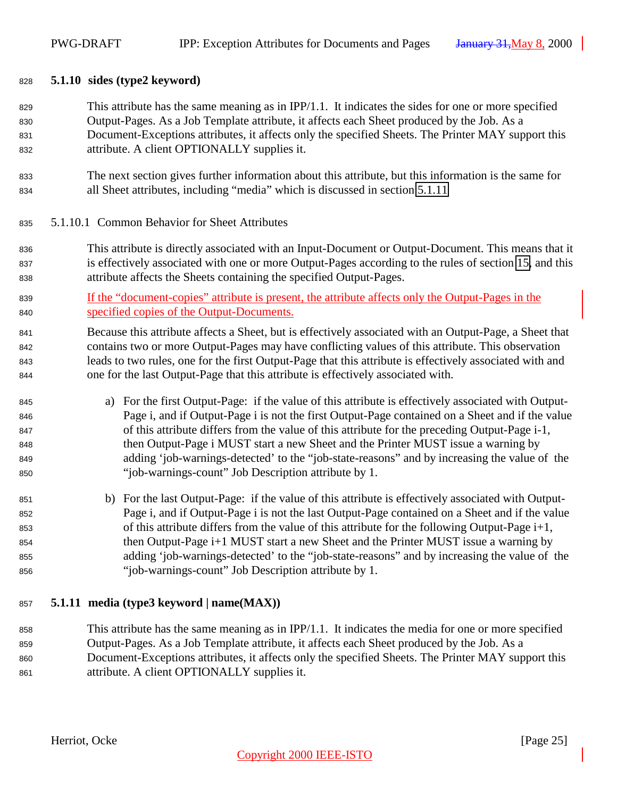#### <span id="page-24-0"></span>**5.1.10 sides (type2 keyword)**

 This attribute has the same meaning as in IPP/1.1. It indicates the sides for one or more specified Output-Pages. As a Job Template attribute, it affects each Sheet produced by the Job. As a Document-Exceptions attributes, it affects only the specified Sheets. The Printer MAY support this attribute. A client OPTIONALLY supplies it.

 The next section gives further information about this attribute, but this information is the same for all Sheet attributes, including "media" which is discussed in section 5.1.11

#### 5.1.10.1 Common Behavior for Sheet Attributes

- This attribute is directly associated with an Input-Document or Output-Document. This means that it is effectively associated with one or more Output-Pages according to the rules of section [15,](#page-43-0) and this attribute affects the Sheets containing the specified Output-Pages.
- If the "document-copies" attribute is present, the attribute affects only the Output-Pages in the specified copies of the Output-Documents.

 Because this attribute affects a Sheet, but is effectively associated with an Output-Page, a Sheet that contains two or more Output-Pages may have conflicting values of this attribute. This observation leads to two rules, one for the first Output-Page that this attribute is effectively associated with and one for the last Output-Page that this attribute is effectively associated with.

- a) For the first Output-Page: if the value of this attribute is effectively associated with Output- Page i, and if Output-Page i is not the first Output-Page contained on a Sheet and if the value of this attribute differs from the value of this attribute for the preceding Output-Page i-1, then Output-Page i MUST start a new Sheet and the Printer MUST issue a warning by adding 'job-warnings-detected' to the "job-state-reasons" and by increasing the value of the "job-warnings-count" Job Description attribute by 1.
- b) For the last Output-Page: if the value of this attribute is effectively associated with Output- Page i, and if Output-Page i is not the last Output-Page contained on a Sheet and if the value of this attribute differs from the value of this attribute for the following Output-Page i+1, then Output-Page i+1 MUST start a new Sheet and the Printer MUST issue a warning by adding 'job-warnings-detected' to the "job-state-reasons" and by increasing the value of the "job-warnings-count" Job Description attribute by 1.

#### **5.1.11 media (type3 keyword | name(MAX))**

 This attribute has the same meaning as in IPP/1.1. It indicates the media for one or more specified Output-Pages. As a Job Template attribute, it affects each Sheet produced by the Job. As a Document-Exceptions attributes, it affects only the specified Sheets. The Printer MAY support this attribute. A client OPTIONALLY supplies it.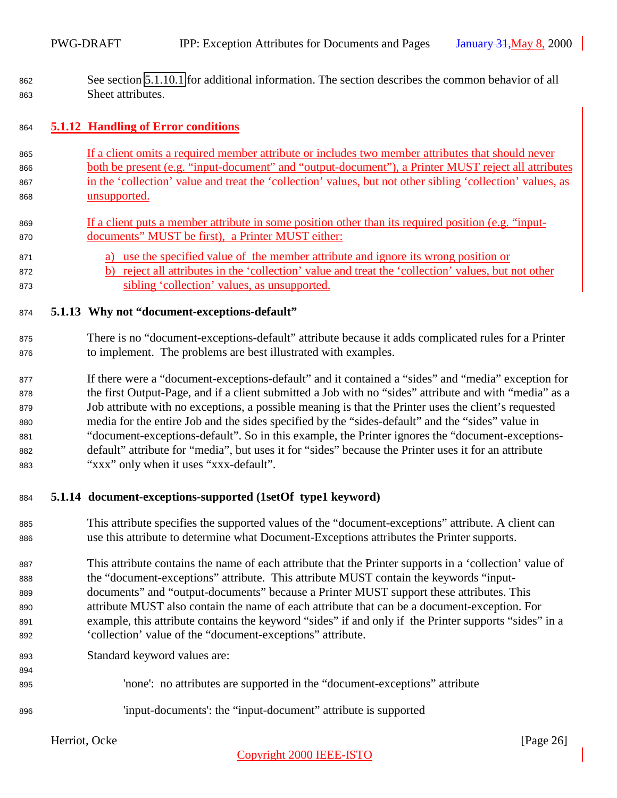<span id="page-25-0"></span> See section [5.1.10.1](#page-24-0) for additional information. The section describes the common behavior of all Sheet attributes.

#### **5.1.12 Handling of Error conditions**

- If a client omits a required member attribute or includes two member attributes that should never both be present (e.g. "input-document" and "output-document"), a Printer MUST reject all attributes in the 'collection' value and treat the 'collection' values, but not other sibling 'collection' values, as unsupported.
- If a client puts a member attribute in some position other than its required position (e.g. "input-documents" MUST be first), a Printer MUST either:
- a) use the specified value of the member attribute and ignore its wrong position or
- b) reject all attributes in the 'collection' value and treat the 'collection' values, but not other sibling 'collection' values, as unsupported.

#### **5.1.13 Why not "document-exceptions-default"**

- There is no "document-exceptions-default" attribute because it adds complicated rules for a Printer to implement. The problems are best illustrated with examples.
- If there were a "document-exceptions-default" and it contained a "sides" and "media" exception for the first Output-Page, and if a client submitted a Job with no "sides" attribute and with "media" as a Job attribute with no exceptions, a possible meaning is that the Printer uses the client's requested media for the entire Job and the sides specified by the "sides-default" and the "sides" value in "document-exceptions-default". So in this example, the Printer ignores the "document-exceptions- default" attribute for "media", but uses it for "sides" because the Printer uses it for an attribute "xxx" only when it uses "xxx-default".

#### **5.1.14 document-exceptions-supported (1setOf type1 keyword)**

- This attribute specifies the supported values of the "document-exceptions" attribute. A client can use this attribute to determine what Document-Exceptions attributes the Printer supports.
- This attribute contains the name of each attribute that the Printer supports in a 'collection' value of the "document-exceptions" attribute. This attribute MUST contain the keywords "input- documents" and "output-documents" because a Printer MUST support these attributes. This attribute MUST also contain the name of each attribute that can be a document-exception. For example, this attribute contains the keyword "sides" if and only if the Printer supports "sides" in a 'collection' value of the "document-exceptions" attribute.
- Standard keyword values are:
- 'none': no attributes are supported in the "document-exceptions" attribute
- 'input-documents': the "input-document" attribute is supported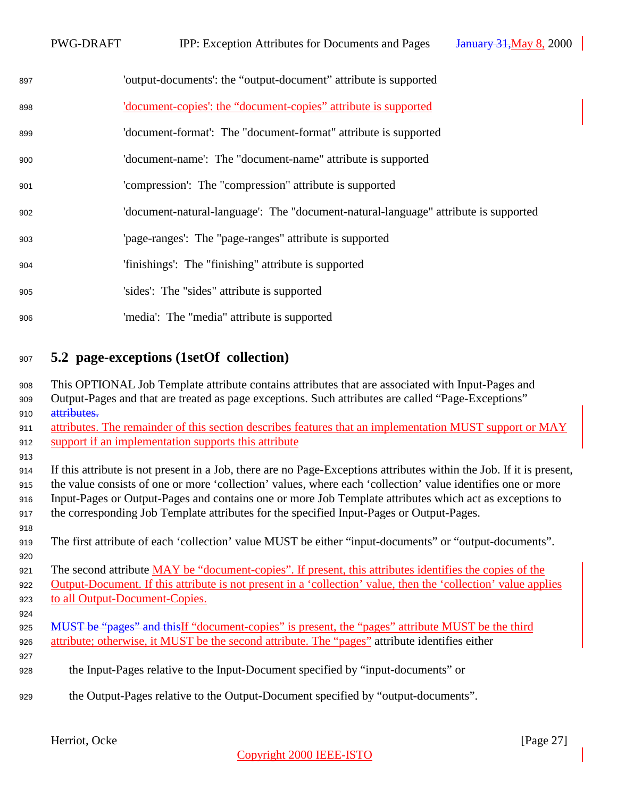<span id="page-26-0"></span>

| 897 | 'output-documents': the "output-document" attribute is supported                    |
|-----|-------------------------------------------------------------------------------------|
| 898 | <u>'document-copies': the "document-copies" attribute is supported</u>              |
| 899 | 'document-format': The "document-format" attribute is supported                     |
| 900 | 'document-name': The "document-name" attribute is supported                         |
| 901 | 'compression': The "compression" attribute is supported                             |
| 902 | 'document-natural-language': The "document-natural-language" attribute is supported |
| 903 | 'page-ranges': The "page-ranges" attribute is supported                             |
| 904 | 'finishings': The "finishing" attribute is supported                                |
| 905 | 'sides': The "sides" attribute is supported                                         |
| 906 | 'media': The "media" attribute is supported                                         |

# **5.2 page-exceptions (1setOf collection)**

| 908 | This OPTIONAL Job Template attribute contains attributes that are associated with Input-Pages and                    |
|-----|----------------------------------------------------------------------------------------------------------------------|
| 909 | Output-Pages and that are treated as page exceptions. Such attributes are called "Page-Exceptions"                   |
| 910 | attributes.                                                                                                          |
| 911 | attributes. The remainder of this section describes features that an implementation MUST support or MAY              |
| 912 | support if an implementation supports this attribute                                                                 |
| 913 |                                                                                                                      |
| 914 | If this attribute is not present in a Job, there are no Page-Exceptions attributes within the Job. If it is present, |
| 915 | the value consists of one or more 'collection' values, where each 'collection' value identifies one or more          |
| 916 | Input-Pages or Output-Pages and contains one or more Job Template attributes which act as exceptions to              |
| 917 | the corresponding Job Template attributes for the specified Input-Pages or Output-Pages.                             |
| 918 |                                                                                                                      |
| 919 | The first attribute of each 'collection' value MUST be either "input-documents" or "output-documents".               |
| 920 |                                                                                                                      |
| 921 | The second attribute MAY be "document-copies". If present, this attributes identifies the copies of the              |
| 922 | Output-Document. If this attribute is not present in a 'collection' value, then the 'collection' value applies       |
| 923 | to all Output-Document-Copies.                                                                                       |
| 924 |                                                                                                                      |
| 925 | MUST be "pages" and this If "document-copies" is present, the "pages" attribute MUST be the third                    |
| 926 | attribute; otherwise, it MUST be the second attribute. The "pages" attribute identifies either                       |
| 927 |                                                                                                                      |
| 928 | the Input-Pages relative to the Input-Document specified by "input-documents" or                                     |
| 929 | the Output-Pages relative to the Output-Document specified by "output-documents".                                    |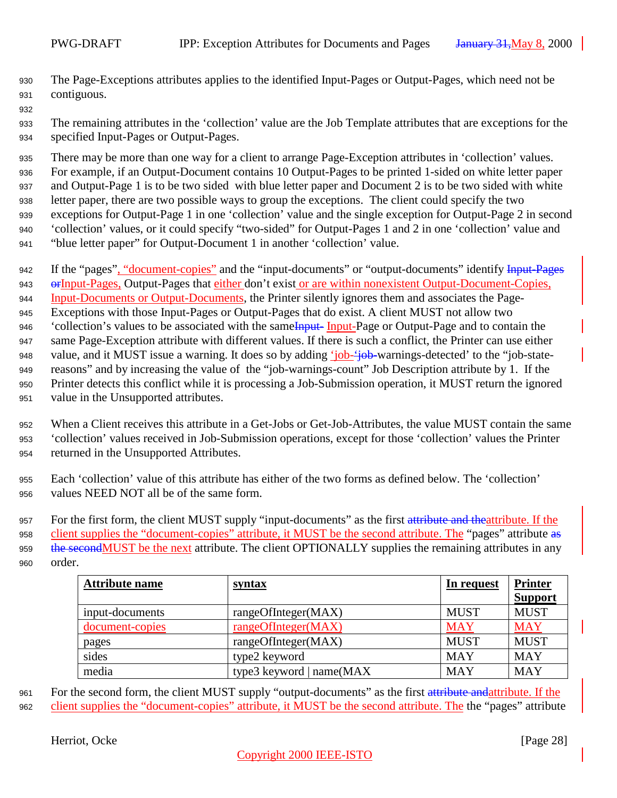- The Page-Exceptions attributes applies to the identified Input-Pages or Output-Pages, which need not be contiguous.
- The remaining attributes in the 'collection' value are the Job Template attributes that are exceptions for the specified Input-Pages or Output-Pages.

 There may be more than one way for a client to arrange Page-Exception attributes in 'collection' values. For example, if an Output-Document contains 10 Output-Pages to be printed 1-sided on white letter paper and Output-Page 1 is to be two sided with blue letter paper and Document 2 is to be two sided with white letter paper, there are two possible ways to group the exceptions. The client could specify the two exceptions for Output-Page 1 in one 'collection' value and the single exception for Output-Page 2 in second 'collection' values, or it could specify "two-sided" for Output-Pages 1 and 2 in one 'collection' value and "blue letter paper" for Output-Document 1 in another 'collection' value.

- 942 If the "pages", "document-copies" and the "input-documents" or "output-documents" identify Input-Pages 943 or Input-Pages, Output-Pages that either don't exist or are within nonexistent Output-Document-Copies, Input-Documents or Output-Documents, the Printer silently ignores them and associates the Page- Exceptions with those Input-Pages or Output-Pages that do exist. A client MUST not allow two 946 'collection's values to be associated with the same Input-Page or Output-Page and to contain the same Page-Exception attribute with different values. If there is such a conflict, the Printer can use either 948 value, and it MUST issue a warning. It does so by adding 'job-'job-warnings-detected' to the "job-state- reasons" and by increasing the value of the "job-warnings-count" Job Description attribute by 1. If the Printer detects this conflict while it is processing a Job-Submission operation, it MUST return the ignored value in the Unsupported attributes.
- When a Client receives this attribute in a Get-Jobs or Get-Job-Attributes, the value MUST contain the same 'collection' values received in Job-Submission operations, except for those 'collection' values the Printer returned in the Unsupported Attributes.
- Each 'collection' value of this attribute has either of the two forms as defined below. The 'collection' values NEED NOT all be of the same form.

957 For the first form, the client MUST supply "input-documents" as the first attribute and theattribute. If the client supplies the "document-copies" attribute, it MUST be the second attribute. The "pages" attribute as 959 the second MUST be the next attribute. The client OPTIONALLY supplies the remaining attributes in any order.

| <b>Attribute name</b> | syntax                   | In request  | <b>Printer</b> |
|-----------------------|--------------------------|-------------|----------------|
|                       |                          |             | <b>Support</b> |
| input-documents       | rangeOfInteger(MAX)      | <b>MUST</b> | <b>MUST</b>    |
| document-copies       | rangeOfInteger(MAX)      | <b>MAY</b>  | <b>MAY</b>     |
| pages                 | rangeOfInteger(MAX)      | <b>MUST</b> | <b>MUST</b>    |
| sides                 | type2 keyword            | <b>MAY</b>  | <b>MAY</b>     |
| media                 | type3 keyword   name(MAX | <b>MAY</b>  | <b>MAY</b>     |

961 For the second form, the client MUST supply "output-documents" as the first attribute and attribute. If the client supplies the "document-copies" attribute, it MUST be the second attribute. The the "pages" attribute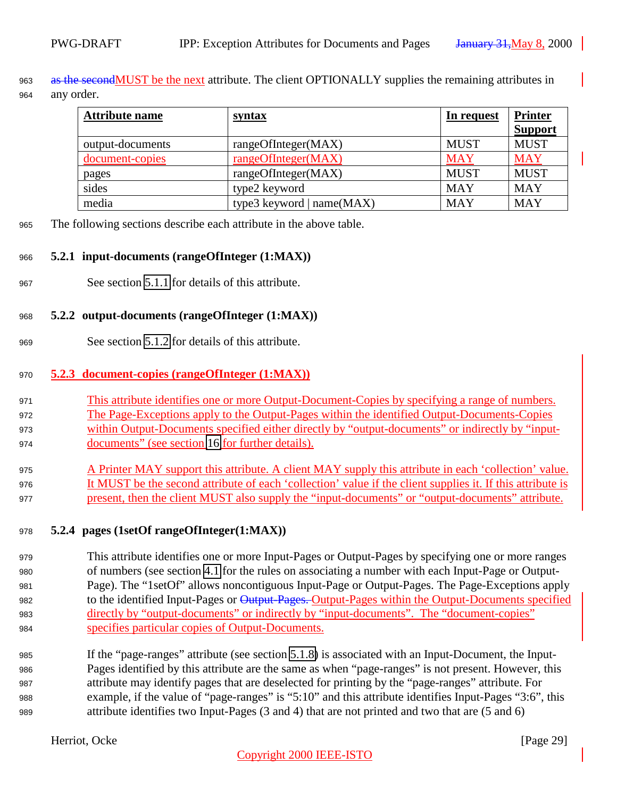<span id="page-28-0"></span> as the secondMUST be the next attribute. The client OPTIONALLY supplies the remaining attributes in any order.

| <b>Attribute name</b> | <b>syntax</b>               | In request  | <b>Printer</b><br><b>Support</b> |
|-----------------------|-----------------------------|-------------|----------------------------------|
| output-documents      | rangeOfInteger(MAX)         | <b>MUST</b> | <b>MUST</b>                      |
| document-copies       | rangeOfInteger(MAX)         | <b>MAY</b>  | <b>MAY</b>                       |
| pages                 | rangeOfInteger(MAX)         | <b>MUST</b> | <b>MUST</b>                      |
| sides                 | type2 keyword               | <b>MAY</b>  | <b>MAY</b>                       |
| media                 | type3 keyword   $name(MAX)$ | <b>MAY</b>  | <b>MAY</b>                       |

The following sections describe each attribute in the above table.

#### **5.2.1 input-documents (rangeOfInteger (1:MAX))**

See section [5.1.1](#page-21-0) for details of this attribute.

#### **5.2.2 output-documents (rangeOfInteger (1:MAX))**

See section [5.1.2](#page-21-0) for details of this attribute.

#### **5.2.3 document-copies (rangeOfInteger (1:MAX))**

- This attribute identifies one or more Output-Document-Copies by specifying a range of numbers. The Page-Exceptions apply to the Output-Pages within the identified Output-Documents-Copies within Output-Documents specified either directly by "output-documents" or indirectly by "input-
- documents" (see section [16](#page-43-0) for further details).
- A Printer MAY support this attribute. A client MAY supply this attribute in each 'collection' value. It MUST be the second attribute of each 'collection' value if the client supplies it. If this attribute is present, then the client MUST also supply the "input-documents" or "output-documents" attribute.

#### **5.2.4 pages (1setOf rangeOfInteger(1:MAX))**

- This attribute identifies one or more Input-Pages or Output-Pages by specifying one or more ranges of numbers (see section [4.1](#page-12-0) for the rules on associating a number with each Input-Page or Output- Page). The "1setOf" allows noncontiguous Input-Page or Output-Pages. The Page-Exceptions apply 982 to the identified Input-Pages or Output-Pages. Output-Pages within the Output-Documents specified directly by "output-documents" or indirectly by "input-documents". The "document-copies" specifies particular copies of Output-Documents.
- If the "page-ranges" attribute (see section [5.1.8\)](#page-23-0) is associated with an Input-Document, the Input- Pages identified by this attribute are the same as when "page-ranges" is not present. However, this attribute may identify pages that are deselected for printing by the "page-ranges" attribute. For example, if the value of "page-ranges" is "5:10" and this attribute identifies Input-Pages "3:6", this attribute identifies two Input-Pages (3 and 4) that are not printed and two that are (5 and 6)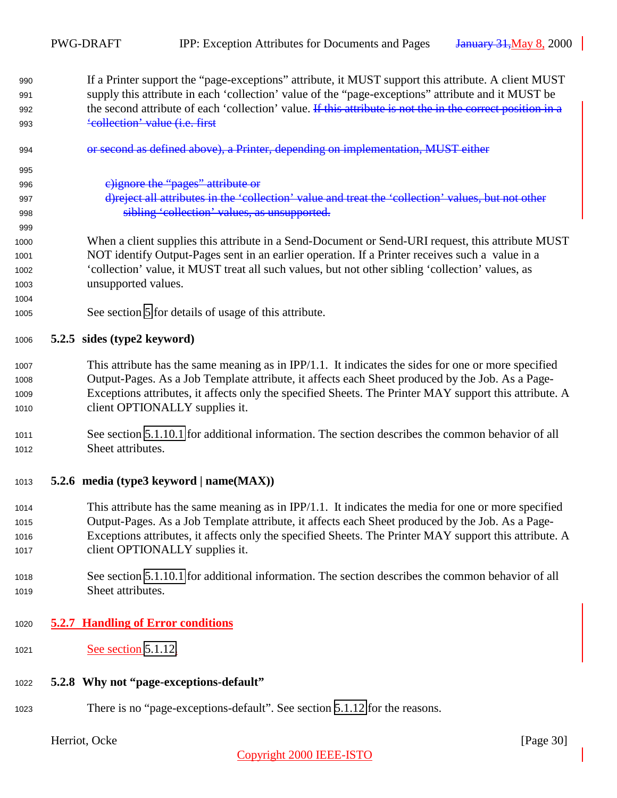- <span id="page-29-0"></span> If a Printer support the "page-exceptions" attribute, it MUST support this attribute. A client MUST supply this attribute in each 'collection' value of the "page-exceptions" attribute and it MUST be 992 the second attribute of each 'collection' value. If this attribute is not the in the correct position in a 'collection' value (i.e. first
- or second as defined above), a Printer, depending on implementation, MUST either

c)ignore the "pages" attribute or

- d)reject all attributes in the 'collection' value and treat the 'collection' values, but not other sibling 'collection' values, as unsupported.
- When a client supplies this attribute in a Send-Document or Send-URI request, this attribute MUST NOT identify Output-Pages sent in an earlier operation. If a Printer receives such a value in a 'collection' value, it MUST treat all such values, but not other sibling 'collection' values, as unsupported values.
- See section [5](#page-19-0) for details of usage of this attribute.

#### **5.2.5 sides (type2 keyword)**

- This attribute has the same meaning as in IPP/1.1. It indicates the sides for one or more specified Output-Pages. As a Job Template attribute, it affects each Sheet produced by the Job. As a Page- Exceptions attributes, it affects only the specified Sheets. The Printer MAY support this attribute. A client OPTIONALLY supplies it.
- See section [5.1.10.1](#page-24-0) for additional information. The section describes the common behavior of all Sheet attributes.

#### **5.2.6 media (type3 keyword | name(MAX))**

- This attribute has the same meaning as in IPP/1.1. It indicates the media for one or more specified Output-Pages. As a Job Template attribute, it affects each Sheet produced by the Job. As a Page- Exceptions attributes, it affects only the specified Sheets. The Printer MAY support this attribute. A 1017 client OPTIONALLY supplies it.
- See section [5.1.10.1](#page-24-0) for additional information. The section describes the common behavior of all Sheet attributes.

#### **5.2.7 Handling of Error conditions**

- **See section [5.1.12.](#page-25-0)**
- **5.2.8 Why not "page-exceptions-default"**
- There is no "page-exceptions-default". See section [5.1.12](#page-25-0) for the reasons.

Herriot, Ocke [Page 30]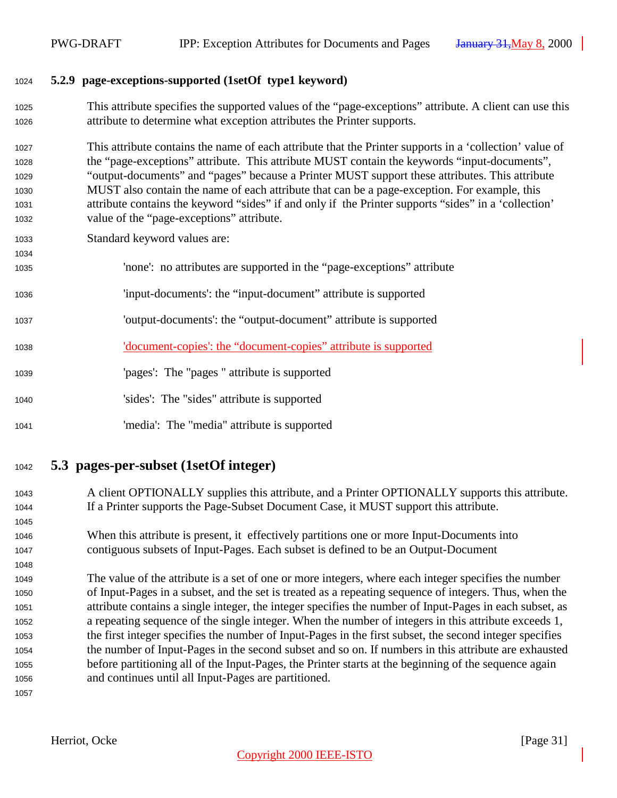#### <span id="page-30-0"></span>**5.2.9 page-exceptions-supported (1setOf type1 keyword)**

 This attribute specifies the supported values of the "page-exceptions" attribute. A client can use this attribute to determine what exception attributes the Printer supports.

 This attribute contains the name of each attribute that the Printer supports in a 'collection' value of the "page-exceptions" attribute. This attribute MUST contain the keywords "input-documents", "output-documents" and "pages" because a Printer MUST support these attributes. This attribute MUST also contain the name of each attribute that can be a page-exception. For example, this attribute contains the keyword "sides" if and only if the Printer supports "sides" in a 'collection' value of the "page-exceptions" attribute.

- Standard keyword values are:
- 'none': no attributes are supported in the "page-exceptions" attribute
- 'input-documents': the "input-document" attribute is supported
- 'output-documents': the "output-document" attribute is supported
- 'document-copies': the "document-copies" attribute is supported
- 'pages': The "pages " attribute is supported
- 'sides': The "sides" attribute is supported
- 'media': The "media" attribute is supported
- **5.3 pages-per-subset (1setOf integer)**
- A client OPTIONALLY supplies this attribute, and a Printer OPTIONALLY supports this attribute. If a Printer supports the Page-Subset Document Case, it MUST support this attribute.
- When this attribute is present, it effectively partitions one or more Input-Documents into contiguous subsets of Input-Pages. Each subset is defined to be an Output-Document

 The value of the attribute is a set of one or more integers, where each integer specifies the number of Input-Pages in a subset, and the set is treated as a repeating sequence of integers. Thus, when the attribute contains a single integer, the integer specifies the number of Input-Pages in each subset, as a repeating sequence of the single integer. When the number of integers in this attribute exceeds 1, the first integer specifies the number of Input-Pages in the first subset, the second integer specifies the number of Input-Pages in the second subset and so on. If numbers in this attribute are exhausted before partitioning all of the Input-Pages, the Printer starts at the beginning of the sequence again and continues until all Input-Pages are partitioned.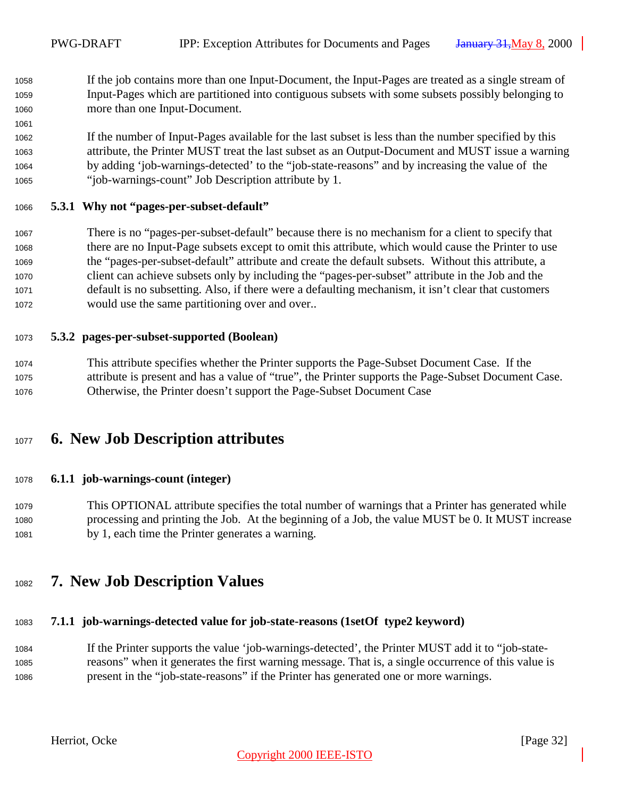<span id="page-31-0"></span> If the job contains more than one Input-Document, the Input-Pages are treated as a single stream of Input-Pages which are partitioned into contiguous subsets with some subsets possibly belonging to more than one Input-Document.

 If the number of Input-Pages available for the last subset is less than the number specified by this attribute, the Printer MUST treat the last subset as an Output-Document and MUST issue a warning by adding 'job-warnings-detected' to the "job-state-reasons" and by increasing the value of the "job-warnings-count" Job Description attribute by 1.

#### **5.3.1 Why not "pages-per-subset-default"**

 There is no "pages-per-subset-default" because there is no mechanism for a client to specify that there are no Input-Page subsets except to omit this attribute, which would cause the Printer to use the "pages-per-subset-default" attribute and create the default subsets. Without this attribute, a client can achieve subsets only by including the "pages-per-subset" attribute in the Job and the default is no subsetting. Also, if there were a defaulting mechanism, it isn't clear that customers would use the same partitioning over and over..

#### **5.3.2 pages-per-subset-supported (Boolean)**

 This attribute specifies whether the Printer supports the Page-Subset Document Case. If the attribute is present and has a value of "true", the Printer supports the Page-Subset Document Case. Otherwise, the Printer doesn't support the Page-Subset Document Case

## **6. New Job Description attributes**

#### **6.1.1 job-warnings-count (integer)**

 This OPTIONAL attribute specifies the total number of warnings that a Printer has generated while processing and printing the Job. At the beginning of a Job, the value MUST be 0. It MUST increase by 1, each time the Printer generates a warning.

## **7. New Job Description Values**

#### **7.1.1 job-warnings-detected value for job-state-reasons (1setOf type2 keyword)**

 If the Printer supports the value 'job-warnings-detected', the Printer MUST add it to "job-state- reasons" when it generates the first warning message. That is, a single occurrence of this value is present in the "job-state-reasons" if the Printer has generated one or more warnings.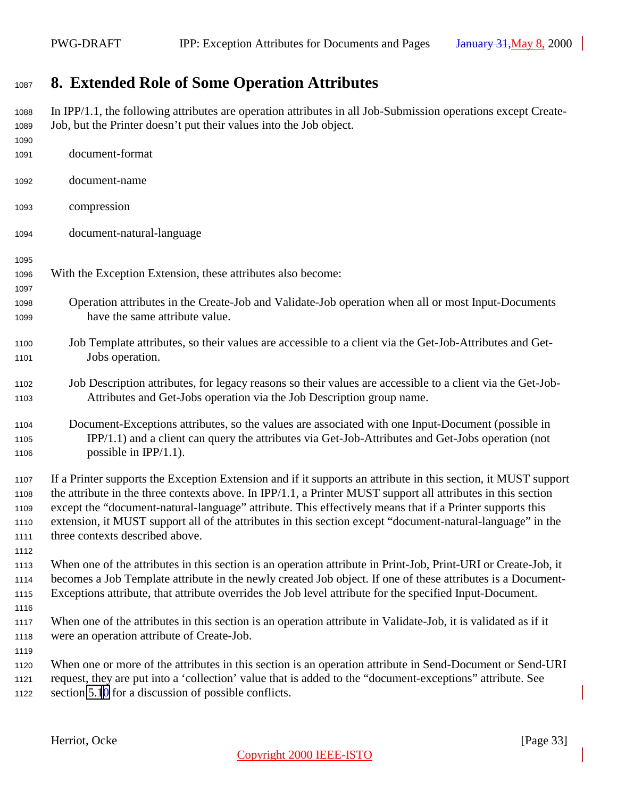## <span id="page-32-0"></span>**8. Extended Role of Some Operation Attributes**

 In IPP/1.1, the following attributes are operation attributes in all Job-Submission operations except Create- Job, but the Printer doesn't put their values into the Job object. document-format document-name compression document-natural-language With the Exception Extension, these attributes also become: Operation attributes in the Create-Job and Validate-Job operation when all or most Input-Documents have the same attribute value. Job Template attributes, so their values are accessible to a client via the Get-Job-Attributes and Get- Jobs operation. Job Description attributes, for legacy reasons so their values are accessible to a client via the Get-Job- Attributes and Get-Jobs operation via the Job Description group name. Document-Exceptions attributes, so the values are associated with one Input-Document (possible in IPP/1.1) and a client can query the attributes via Get-Job-Attributes and Get-Jobs operation (not 1106 possible in  $IPP/1.1$ ). If a Printer supports the Exception Extension and if it supports an attribute in this section, it MUST support the attribute in the three contexts above. In IPP/1.1, a Printer MUST support all attributes in this section except the "document-natural-language" attribute. This effectively means that if a Printer supports this extension, it MUST support all of the attributes in this section except "document-natural-language" in the three contexts described above. When one of the attributes in this section is an operation attribute in Print-Job, Print-URI or Create-Job, it becomes a Job Template attribute in the newly created Job object. If one of these attributes is a Document- Exceptions attribute, that attribute overrides the Job level attribute for the specified Input-Document. When one of the attributes in this section is an operation attribute in Validate-Job, it is validated as if it were an operation attribute of Create-Job. When one or more of the attributes in this section is an operation attribute in Send-Document or Send-URI request, they are put into a 'collection' value that is added to the "document-exceptions" attribute. See 1122 section  $5.1\theta$  for a discussion of possible conflicts.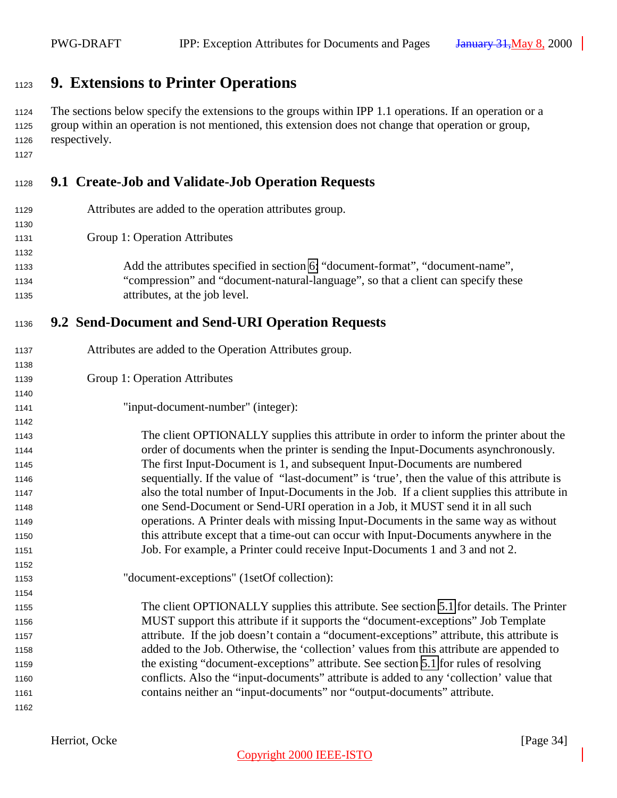## <span id="page-33-0"></span>**9. Extensions to Printer Operations**

 The sections below specify the extensions to the groups within IPP 1.1 operations. If an operation or a group within an operation is not mentioned, this extension does not change that operation or group, respectively.

## **9.1 Create-Job and Validate-Job Operation Requests**

| 1129 | Attributes are added to the operation attributes group.                           |
|------|-----------------------------------------------------------------------------------|
| 1130 |                                                                                   |
| 1131 | Group 1: Operation Attributes                                                     |
| 1132 |                                                                                   |
| 1133 | Add the attributes specified in section 6: "document-format", "document-name",    |
| 1134 | "compression" and "document-natural-language", so that a client can specify these |
| 1135 | attributes, at the job level.                                                     |

### **9.2 Send-Document and Send-URI Operation Requests**

|  | 1137 | Attributes are added to the Operation Attributes group. |  |  |  |  |
|--|------|---------------------------------------------------------|--|--|--|--|
|--|------|---------------------------------------------------------|--|--|--|--|

- Group 1: Operation Attributes
- "input-document-number" (integer):

 The client OPTIONALLY supplies this attribute in order to inform the printer about the order of documents when the printer is sending the Input-Documents asynchronously. The first Input-Document is 1, and subsequent Input-Documents are numbered sequentially. If the value of "last-document" is 'true', then the value of this attribute is also the total number of Input-Documents in the Job. If a client supplies this attribute in one Send-Document or Send-URI operation in a Job, it MUST send it in all such operations. A Printer deals with missing Input-Documents in the same way as without this attribute except that a time-out can occur with Input-Documents anywhere in the Job. For example, a Printer could receive Input-Documents 1 and 3 and not 2.

"document-exceptions" (1setOf collection):

 The client OPTIONALLY supplies this attribute. See section [5.1](#page-19-0) for details. The Printer MUST support this attribute if it supports the "document-exceptions" Job Template attribute. If the job doesn't contain a "document-exceptions" attribute, this attribute is added to the Job. Otherwise, the 'collection' values from this attribute are appended to the existing "document-exceptions" attribute. See section [5.1](#page-19-0) for rules of resolving conflicts. Also the "input-documents" attribute is added to any 'collection' value that contains neither an "input-documents" nor "output-documents" attribute.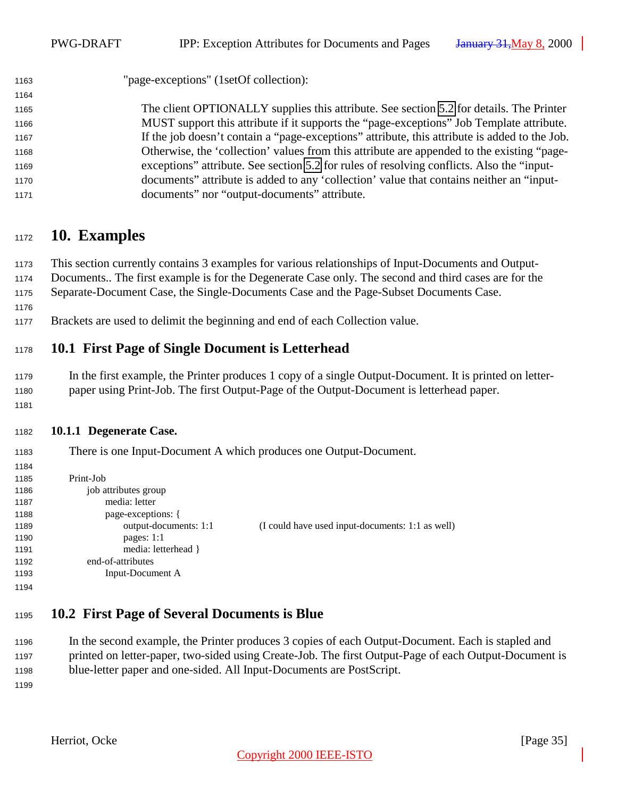<span id="page-34-0"></span>

| 1163 | "page-exceptions" (1setOf collection):                                                        |
|------|-----------------------------------------------------------------------------------------------|
| 1164 |                                                                                               |
| 1165 | The client OPTIONALLY supplies this attribute. See section 5.2 for details. The Printer       |
| 1166 | MUST support this attribute if it supports the "page-exceptions" Job Template attribute.      |
| 1167 | If the job doesn't contain a "page-exceptions" attribute, this attribute is added to the Job. |
| 1168 | Otherwise, the 'collection' values from this attribute are appended to the existing "page-    |
| 1169 | exceptions" attribute. See section 5.2 for rules of resolving conflicts. Also the "input-     |
| 1170 | documents" attribute is added to any 'collection' value that contains neither an "input-      |
| 1171 | documents" nor "output-documents" attribute.                                                  |

## **10. Examples**

 This section currently contains 3 examples for various relationships of Input-Documents and Output- Documents.. The first example is for the Degenerate Case only. The second and third cases are for the Separate-Document Case, the Single-Documents Case and the Page-Subset Documents Case.

- 
- Brackets are used to delimit the beginning and end of each Collection value.

### **10.1 First Page of Single Document is Letterhead**

 In the first example, the Printer produces 1 copy of a single Output-Document. It is printed on letter-paper using Print-Job. The first Output-Page of the Output-Document is letterhead paper.

#### **10.1.1 Degenerate Case.**

There is one Input-Document A which produces one Output-Document.

| 1184 |                       |                                                  |
|------|-----------------------|--------------------------------------------------|
| 1185 | Print-Job             |                                                  |
| 1186 | job attributes group  |                                                  |
| 1187 | media: letter         |                                                  |
| 1188 | page-exceptions: {    |                                                  |
| 1189 | output-documents: 1:1 | (I could have used input-documents: 1:1 as well) |
| 1190 | pages: $1:1$          |                                                  |
| 1191 | media: letterhead }   |                                                  |
| 1192 | end-of-attributes     |                                                  |
| 1193 | Input-Document A      |                                                  |
| 1194 |                       |                                                  |

## **10.2 First Page of Several Documents is Blue**

 In the second example, the Printer produces 3 copies of each Output-Document. Each is stapled and printed on letter-paper, two-sided using Create-Job. The first Output-Page of each Output-Document is blue-letter paper and one-sided. All Input-Documents are PostScript.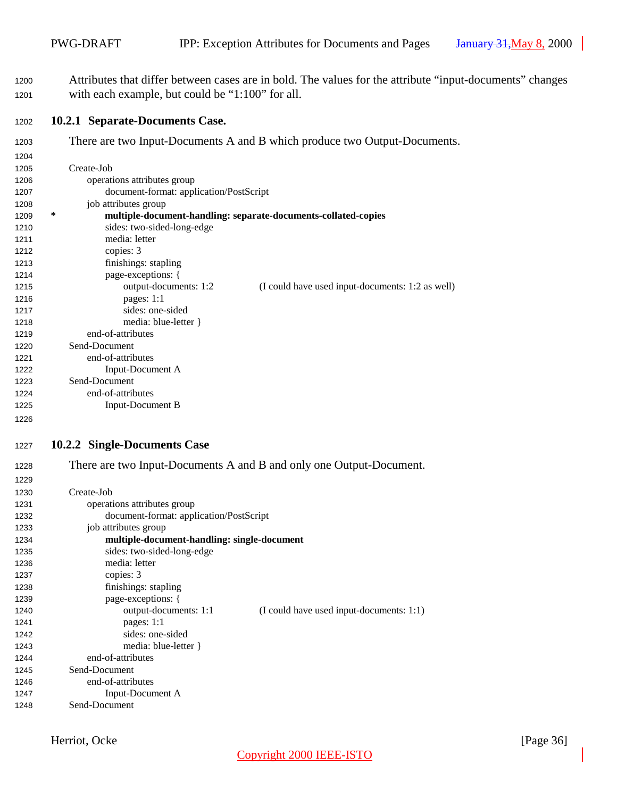<span id="page-35-0"></span> Attributes that differ between cases are in bold. The values for the attribute "input-documents" changes with each example, but could be "1:100" for all.

#### **10.2.1 Separate-Documents Case.**

There are two Input-Documents A and B which produce two Output-Documents.

| 1205 |   | Create-Job                                                     |                                                  |
|------|---|----------------------------------------------------------------|--------------------------------------------------|
| 1206 |   | operations attributes group                                    |                                                  |
| 1207 |   | document-format: application/PostScript                        |                                                  |
| 1208 |   | job attributes group                                           |                                                  |
| 1209 | ∗ | multiple-document-handling: separate-documents-collated-copies |                                                  |
| 1210 |   | sides: two-sided-long-edge                                     |                                                  |
| 1211 |   | media: letter                                                  |                                                  |
| 1212 |   | copies: 3                                                      |                                                  |
| 1213 |   | finishings: stapling                                           |                                                  |
| 1214 |   | page-exceptions: {                                             |                                                  |
| 1215 |   | output-documents: 1:2                                          | (I could have used input-documents: 1:2 as well) |
| 1216 |   | pages: $1:1$                                                   |                                                  |
| 1217 |   | sides: one-sided                                               |                                                  |
| 1218 |   | media: blue-letter }                                           |                                                  |
| 1219 |   | end-of-attributes                                              |                                                  |
| 1220 |   | Send-Document                                                  |                                                  |
| 1221 |   | end-of-attributes                                              |                                                  |
| 1222 |   | Input-Document A                                               |                                                  |
| 1223 |   | Send-Document                                                  |                                                  |
| 1224 |   | end-of-attributes                                              |                                                  |
| 1225 |   | <b>Input-Document B</b>                                        |                                                  |

#### **10.2.2 Single-Documents Case**

There are two Input-Documents A and B and only one Output-Document.

| 1229 |                                                                   |
|------|-------------------------------------------------------------------|
| 1230 | Create-Job                                                        |
| 1231 | operations attributes group                                       |
| 1232 | document-format: application/PostScript                           |
| 1233 | job attributes group                                              |
| 1234 | multiple-document-handling: single-document                       |
| 1235 | sides: two-sided-long-edge                                        |
| 1236 | media: letter                                                     |
| 1237 | copies: 3                                                         |
| 1238 | finishings: stapling                                              |
| 1239 | page-exceptions: {                                                |
| 1240 | output-documents: 1:1<br>(I could have used input-documents: 1:1) |
| 1241 | pages: $1:1$                                                      |
| 1242 | sides: one-sided                                                  |
| 1243 | media: blue-letter $\}$                                           |
| 1244 | end-of-attributes                                                 |
| 1245 | Send-Document                                                     |
| 1246 | end-of-attributes                                                 |
| 1247 | Input-Document A                                                  |
| 1248 | Send-Document                                                     |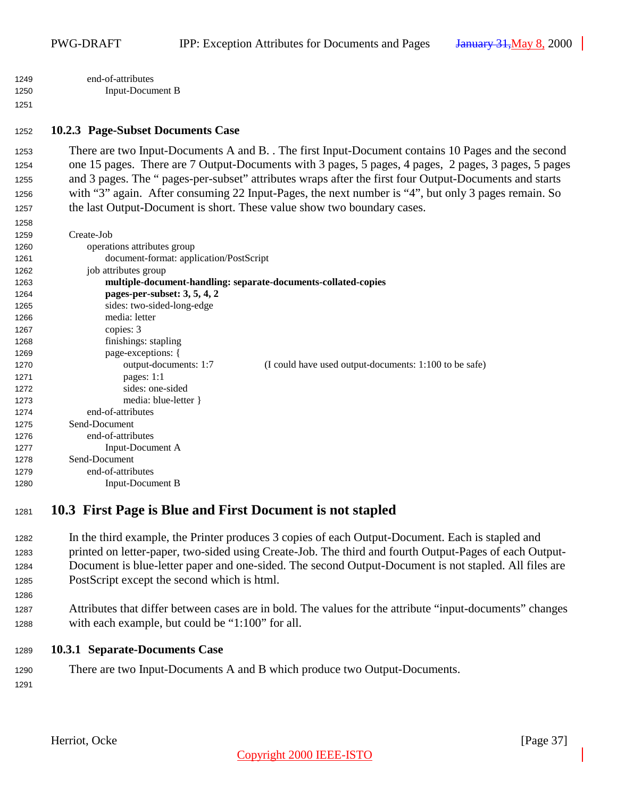<span id="page-36-0"></span> end-of-attributes Input-Document B

#### **10.2.3 Page-Subset Documents Case**

 There are two Input-Documents A and B. . The first Input-Document contains 10 Pages and the second one 15 pages. There are 7 Output-Documents with 3 pages, 5 pages, 4 pages, 2 pages, 3 pages, 5 pages and 3 pages. The " pages-per-subset" attributes wraps after the first four Output-Documents and starts with "3" again. After consuming 22 Input-Pages, the next number is "4", but only 3 pages remain. So the last Output-Document is short. These value show two boundary cases.

| 1259 | Create-Job                                                                      |
|------|---------------------------------------------------------------------------------|
| 1260 | operations attributes group                                                     |
| 1261 | document-format: application/PostScript                                         |
| 1262 | job attributes group                                                            |
| 1263 | multiple-document-handling: separate-documents-collated-copies                  |
| 1264 | pages-per-subset: 3, 5, 4, 2                                                    |
| 1265 | sides: two-sided-long-edge                                                      |
| 1266 | media: letter                                                                   |
| 1267 | copies: 3                                                                       |
| 1268 | finishings: stapling                                                            |
| 1269 | page-exceptions: {                                                              |
| 1270 | output-documents: 1:7<br>(I could have used output-documents: 1:100 to be safe) |
| 1271 | pages: $1:1$                                                                    |
| 1272 | sides: one-sided                                                                |
| 1273 | media: blue-letter }                                                            |
| 1274 | end-of-attributes                                                               |
| 1275 | Send-Document                                                                   |
| 1276 | end-of-attributes                                                               |
| 1277 | <b>Input-Document A</b>                                                         |
| 1278 | Send-Document                                                                   |
| 1279 | end-of-attributes                                                               |
| 1280 | Input-Document B                                                                |

## **10.3 First Page is Blue and First Document is not stapled**

- In the third example, the Printer produces 3 copies of each Output-Document. Each is stapled and printed on letter-paper, two-sided using Create-Job. The third and fourth Output-Pages of each Output- Document is blue-letter paper and one-sided. The second Output-Document is not stapled. All files are PostScript except the second which is html.
- Attributes that differ between cases are in bold. The values for the attribute "input-documents" changes with each example, but could be "1:100" for all.
- **10.3.1 Separate-Documents Case**
- There are two Input-Documents A and B which produce two Output-Documents.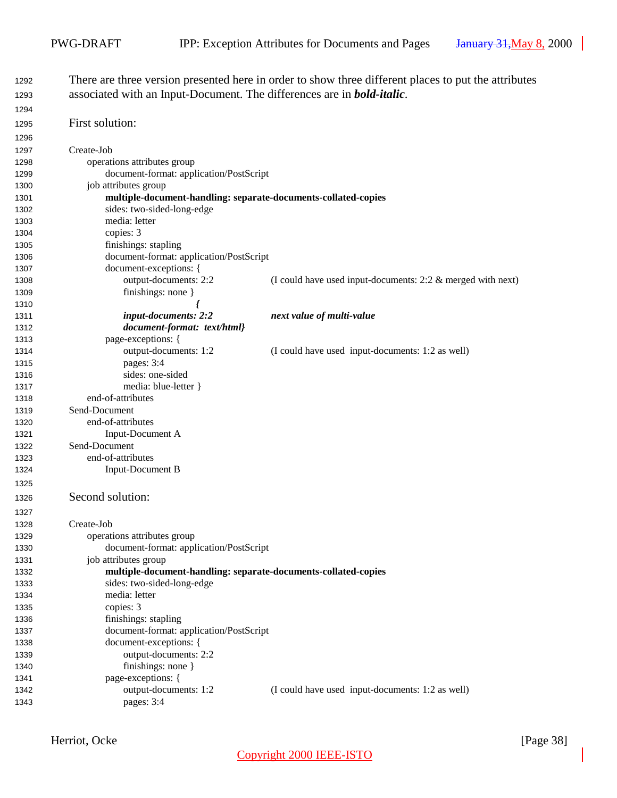| 1292         |                                                                                | There are three version presented here in order to show three different places to put the attributes |              |
|--------------|--------------------------------------------------------------------------------|------------------------------------------------------------------------------------------------------|--------------|
| 1293         | associated with an Input-Document. The differences are in <b>bold-italic</b> . |                                                                                                      |              |
| 1294         |                                                                                |                                                                                                      |              |
| 1295         | First solution:                                                                |                                                                                                      |              |
| 1296         |                                                                                |                                                                                                      |              |
| 1297         | Create-Job                                                                     |                                                                                                      |              |
| 1298         | operations attributes group                                                    |                                                                                                      |              |
| 1299         | document-format: application/PostScript                                        |                                                                                                      |              |
| 1300         | job attributes group                                                           |                                                                                                      |              |
| 1301         | multiple-document-handling: separate-documents-collated-copies                 |                                                                                                      |              |
| 1302         | sides: two-sided-long-edge                                                     |                                                                                                      |              |
| 1303         | media: letter                                                                  |                                                                                                      |              |
| 1304         | copies: 3                                                                      |                                                                                                      |              |
| 1305         | finishings: stapling                                                           |                                                                                                      |              |
| 1306         | document-format: application/PostScript                                        |                                                                                                      |              |
| 1307         | document-exceptions: {                                                         |                                                                                                      |              |
| 1308         | output-documents: 2:2                                                          | (I could have used input-documents: $2:2 \&$ merged with next)                                       |              |
| 1309         | finishings: none }                                                             |                                                                                                      |              |
| 1310         |                                                                                |                                                                                                      |              |
| 1311         | input-documents: 2:2                                                           | next value of multi-value                                                                            |              |
| 1312         | document-format: text/html}                                                    |                                                                                                      |              |
| 1313         | page-exceptions: {                                                             |                                                                                                      |              |
| 1314         | output-documents: 1:2                                                          | (I could have used input-documents: 1:2 as well)                                                     |              |
| 1315         | pages: 3:4                                                                     |                                                                                                      |              |
| 1316         | sides: one-sided                                                               |                                                                                                      |              |
| 1317         | media: blue-letter }                                                           |                                                                                                      |              |
| 1318         | end-of-attributes                                                              |                                                                                                      |              |
| 1319         | Send-Document                                                                  |                                                                                                      |              |
| 1320         | end-of-attributes                                                              |                                                                                                      |              |
| 1321         | Input-Document A<br>Send-Document                                              |                                                                                                      |              |
| 1322         | end-of-attributes                                                              |                                                                                                      |              |
| 1323         | <b>Input-Document B</b>                                                        |                                                                                                      |              |
| 1324         |                                                                                |                                                                                                      |              |
| 1325         |                                                                                |                                                                                                      |              |
| 1326         | Second solution:                                                               |                                                                                                      |              |
| 1327         |                                                                                |                                                                                                      |              |
| 1328         | Create-Job                                                                     |                                                                                                      |              |
| 1329         | operations attributes group                                                    |                                                                                                      |              |
| 1330         | document-format: application/PostScript                                        |                                                                                                      |              |
| 1331         | job attributes group                                                           |                                                                                                      |              |
| 1332         | multiple-document-handling: separate-documents-collated-copies                 |                                                                                                      |              |
| 1333         | sides: two-sided-long-edge                                                     |                                                                                                      |              |
| 1334         | media: letter                                                                  |                                                                                                      |              |
| 1335         | copies: 3<br>finishings: stapling                                              |                                                                                                      |              |
| 1336<br>1337 | document-format: application/PostScript                                        |                                                                                                      |              |
| 1338         | document-exceptions: {                                                         |                                                                                                      |              |
| 1339         | output-documents: 2:2                                                          |                                                                                                      |              |
| 1340         | finishings: none }                                                             |                                                                                                      |              |
| 1341         | page-exceptions: {                                                             |                                                                                                      |              |
| 1342         | output-documents: 1:2                                                          | (I could have used input-documents: 1:2 as well)                                                     |              |
| 1343         | pages: 3:4                                                                     |                                                                                                      |              |
|              |                                                                                |                                                                                                      |              |
|              | Herriot, Ocke                                                                  |                                                                                                      | [Page $38$ ] |
|              |                                                                                | Copyright 2000 IEEE-ISTO                                                                             |              |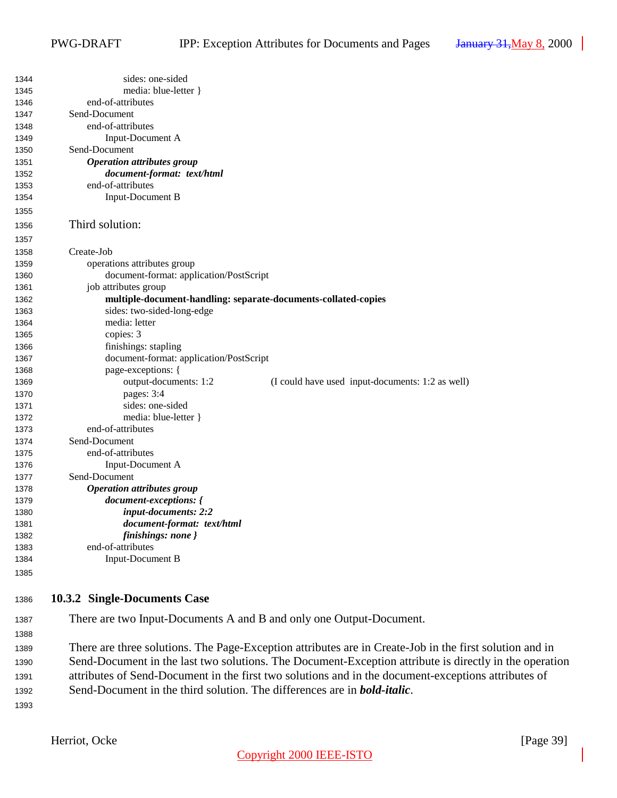<span id="page-38-0"></span>

| 1344 | sides: one-sided                                                                                        |
|------|---------------------------------------------------------------------------------------------------------|
| 1345 | media: blue-letter }                                                                                    |
| 1346 | end-of-attributes                                                                                       |
| 1347 | Send-Document                                                                                           |
| 1348 | end-of-attributes                                                                                       |
| 1349 | <b>Input-Document A</b>                                                                                 |
| 1350 | Send-Document                                                                                           |
| 1351 | <b>Operation attributes group</b>                                                                       |
| 1352 | document-format: text/html                                                                              |
| 1353 | end-of-attributes                                                                                       |
| 1354 | Input-Document B                                                                                        |
| 1355 |                                                                                                         |
| 1356 | Third solution:                                                                                         |
| 1357 |                                                                                                         |
| 1358 | Create-Job                                                                                              |
| 1359 | operations attributes group                                                                             |
| 1360 | document-format: application/PostScript                                                                 |
| 1361 | job attributes group                                                                                    |
| 1362 | multiple-document-handling: separate-documents-collated-copies                                          |
| 1363 | sides: two-sided-long-edge                                                                              |
| 1364 | media: letter                                                                                           |
| 1365 | copies: 3                                                                                               |
| 1366 | finishings: stapling                                                                                    |
| 1367 | document-format: application/PostScript                                                                 |
| 1368 | page-exceptions: {                                                                                      |
| 1369 | output-documents: 1:2<br>(I could have used input-documents: 1:2 as well)                               |
| 1370 | pages: 3:4                                                                                              |
| 1371 | sides: one-sided                                                                                        |
| 1372 | media: blue-letter }                                                                                    |
|      | end-of-attributes                                                                                       |
| 1373 | Send-Document                                                                                           |
| 1374 | end-of-attributes                                                                                       |
| 1375 |                                                                                                         |
| 1376 | Input-Document A<br>Send-Document                                                                       |
| 1377 |                                                                                                         |
| 1378 | <b>Operation attributes group</b>                                                                       |
| 1379 | document-exceptions: {                                                                                  |
| 1380 | input-documents: 2:2                                                                                    |
| 1381 | document-format: text/html                                                                              |
| 1382 | finishings: none }                                                                                      |
| 1383 | end-of-attributes                                                                                       |
| 1384 | <b>Input-Document B</b>                                                                                 |
| 1385 |                                                                                                         |
| 1386 | 10.3.2 Single-Documents Case                                                                            |
| 1387 | There are two Input-Documents A and B and only one Output-Document.                                     |
| 1388 |                                                                                                         |
|      | There are three solutions. The Page-Exception attributes are in Create-Job in the first solution and in |
| 1389 |                                                                                                         |
| 1390 | Send-Document in the last two solutions. The Document-Exception attribute is directly in the operation  |
| 1391 | attributes of Send-Document in the first two solutions and in the document-exceptions attributes of     |
| 1392 | Send-Document in the third solution. The differences are in <b>bold-italic</b> .                        |
| 1393 |                                                                                                         |
|      |                                                                                                         |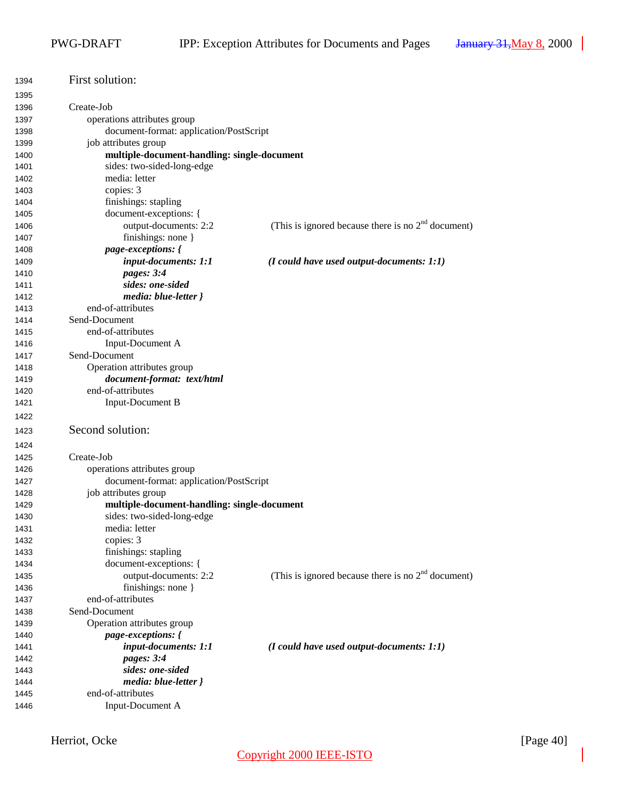| 1394 | First solution:                             |                                                      |
|------|---------------------------------------------|------------------------------------------------------|
| 1395 |                                             |                                                      |
| 1396 | Create-Job                                  |                                                      |
| 1397 | operations attributes group                 |                                                      |
| 1398 | document-format: application/PostScript     |                                                      |
| 1399 | job attributes group                        |                                                      |
| 1400 | multiple-document-handling: single-document |                                                      |
| 1401 | sides: two-sided-long-edge                  |                                                      |
| 1402 | media: letter                               |                                                      |
| 1403 | copies: 3                                   |                                                      |
| 1404 | finishings: stapling                        |                                                      |
| 1405 | document-exceptions: {                      |                                                      |
| 1406 | output-documents: 2:2                       | (This is ignored because there is no $2nd$ document) |
| 1407 | finishings: none }                          |                                                      |
| 1408 | page-exceptions: {                          |                                                      |
| 1409 | input-documents: 1:1                        | $(I \text{ could have used output-documents: } 1:1)$ |
| 1410 | pages: 3:4                                  |                                                      |
| 1411 | sides: one-sided                            |                                                      |
| 1412 | media: blue-letter }                        |                                                      |
| 1413 | end-of-attributes                           |                                                      |
| 1414 | Send-Document                               |                                                      |
| 1415 | end-of-attributes                           |                                                      |
| 1416 | Input-Document A                            |                                                      |
| 1417 | Send-Document                               |                                                      |
| 1418 | Operation attributes group                  |                                                      |
| 1419 | document-format: text/html                  |                                                      |
| 1420 | end-of-attributes                           |                                                      |
| 1421 | <b>Input-Document B</b>                     |                                                      |
|      |                                             |                                                      |
| 1422 |                                             |                                                      |
| 1423 | Second solution:                            |                                                      |
| 1424 |                                             |                                                      |
| 1425 | Create-Job                                  |                                                      |
| 1426 | operations attributes group                 |                                                      |
| 1427 | document-format: application/PostScript     |                                                      |
| 1428 | job attributes group                        |                                                      |
| 1429 | multiple-document-handling: single-document |                                                      |
| 1430 | sides: two-sided-long-edge                  |                                                      |
| 1431 | media: letter                               |                                                      |
| 1432 | copies: 3                                   |                                                      |
| 1433 | finishings: stapling                        |                                                      |
| 1434 | document-exceptions: {                      |                                                      |
| 1435 | output-documents: 2:2                       | (This is ignored because there is no $2nd$ document) |
| 1436 | finishings: none }                          |                                                      |
| 1437 | end-of-attributes                           |                                                      |
| 1438 | Send-Document                               |                                                      |
| 1439 | Operation attributes group                  |                                                      |
| 1440 | page-exceptions: {                          |                                                      |
| 1441 | input-documents: 1:1                        | $(I \text{ could have used output-documents: } 1:1)$ |
| 1442 | pages: 3:4                                  |                                                      |
| 1443 | sides: one-sided                            |                                                      |
| 1444 | media: blue-letter }                        |                                                      |
| 1445 | end-of-attributes                           |                                                      |
| 1446 | Input-Document A                            |                                                      |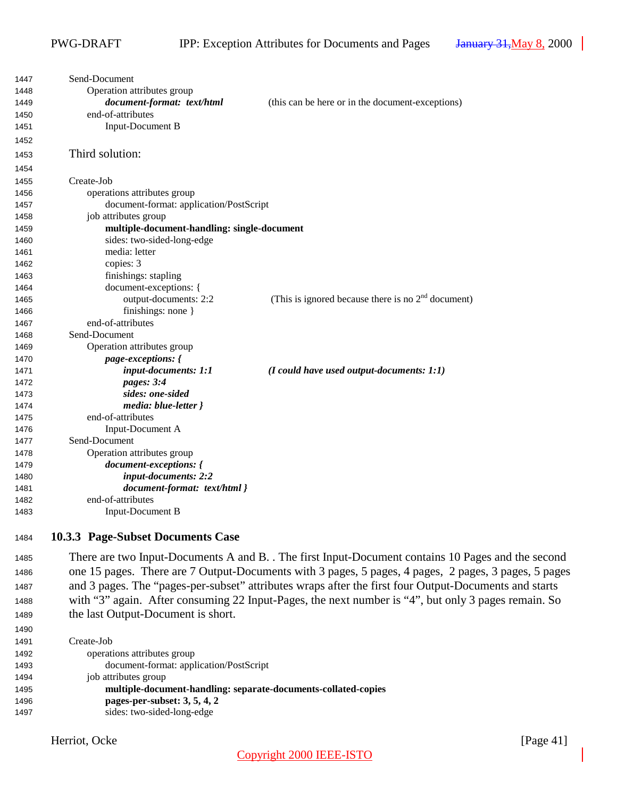<span id="page-40-0"></span>

| 1447 | Send-Document                               |                                                                                                       |
|------|---------------------------------------------|-------------------------------------------------------------------------------------------------------|
| 1448 | Operation attributes group                  |                                                                                                       |
| 1449 | document-format: text/html                  | (this can be here or in the document-exceptions)                                                      |
| 1450 | end-of-attributes                           |                                                                                                       |
| 1451 | <b>Input-Document B</b>                     |                                                                                                       |
| 1452 |                                             |                                                                                                       |
| 1453 | Third solution:                             |                                                                                                       |
| 1454 |                                             |                                                                                                       |
| 1455 | Create-Job                                  |                                                                                                       |
| 1456 | operations attributes group                 |                                                                                                       |
| 1457 | document-format: application/PostScript     |                                                                                                       |
| 1458 | job attributes group                        |                                                                                                       |
| 1459 | multiple-document-handling: single-document |                                                                                                       |
| 1460 | sides: two-sided-long-edge                  |                                                                                                       |
| 1461 | media: letter                               |                                                                                                       |
| 1462 | copies: 3                                   |                                                                                                       |
| 1463 | finishings: stapling                        |                                                                                                       |
| 1464 | document-exceptions: {                      |                                                                                                       |
| 1465 | output-documents: 2:2                       | (This is ignored because there is no $2nd$ document)                                                  |
| 1466 | finishings: none }                          |                                                                                                       |
| 1467 | end-of-attributes                           |                                                                                                       |
| 1468 | Send-Document                               |                                                                                                       |
| 1469 | Operation attributes group                  |                                                                                                       |
| 1470 | <i>page-exceptions: {</i>                   |                                                                                                       |
| 1471 | input-documents: 1:1                        | $(I$ could have used output-documents: 1:1)                                                           |
| 1472 | pages: 3:4                                  |                                                                                                       |
| 1473 | sides: one-sided                            |                                                                                                       |
| 1474 | media: blue-letter }                        |                                                                                                       |
| 1475 | end-of-attributes                           |                                                                                                       |
| 1476 | Input-Document A                            |                                                                                                       |
| 1477 | Send-Document                               |                                                                                                       |
| 1478 | Operation attributes group                  |                                                                                                       |
| 1479 | document-exceptions: {                      |                                                                                                       |
| 1480 | input-documents: 2:2                        |                                                                                                       |
| 1481 | document-format: text/html }                |                                                                                                       |
| 1482 | end-of-attributes                           |                                                                                                       |
| 1483 | <b>Input-Document B</b>                     |                                                                                                       |
| 1484 | 10.3.3 Page-Subset Documents Case           |                                                                                                       |
| 1485 |                                             | There are two Input-Documents A and B. . The first Input-Document contains 10 Pages and the second    |
| 1486 |                                             | one 15 pages. There are 7 Output-Documents with 3 pages, 5 pages, 4 pages, 2 pages, 3 pages, 5 pages  |
| 1487 |                                             | and 3 pages. The "pages-per-subset" attributes wraps after the first four Output-Documents and starts |

- with "3" again. After consuming 22 Input-Pages, the next number is "4", but only 3 pages remain. So
- 

 the last Output-Document is short. Create-Job operations attributes group document-format: application/PostScript job attributes group **multiple-document-handling: separate-documents-collated-copies pages-per-subset: 3, 5, 4, 2**

Herriot, Ocke [Page 41]

sides: two-sided-long-edge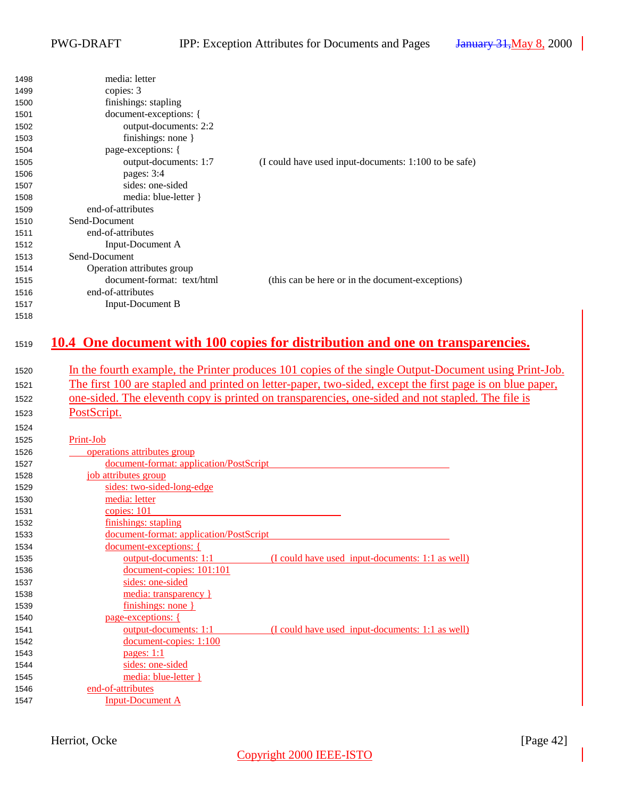<span id="page-41-0"></span>

| 1498         | media: letter                                |                                                                                                           |
|--------------|----------------------------------------------|-----------------------------------------------------------------------------------------------------------|
| 1499         | copies: 3                                    |                                                                                                           |
| 1500         | finishings: stapling                         |                                                                                                           |
| 1501         | document-exceptions: {                       |                                                                                                           |
| 1502         | output-documents: 2:2                        |                                                                                                           |
| 1503         | finishings: none }                           |                                                                                                           |
| 1504         | page-exceptions: {                           |                                                                                                           |
| 1505         | output-documents: 1:7                        | (I could have used input-documents: 1:100 to be safe)                                                     |
| 1506         | pages: 3:4                                   |                                                                                                           |
| 1507         | sides: one-sided                             |                                                                                                           |
| 1508         | media: blue-letter }                         |                                                                                                           |
| 1509         | end-of-attributes                            |                                                                                                           |
| 1510         | Send-Document                                |                                                                                                           |
| 1511         | end-of-attributes                            |                                                                                                           |
| 1512         | Input-Document A                             |                                                                                                           |
| 1513         | Send-Document                                |                                                                                                           |
| 1514         | Operation attributes group                   |                                                                                                           |
| 1515         | document-format: text/html                   | (this can be here or in the document-exceptions)                                                          |
| 1516         | end-of-attributes                            |                                                                                                           |
| 1517         | <b>Input-Document B</b>                      |                                                                                                           |
| 1518         |                                              |                                                                                                           |
|              |                                              |                                                                                                           |
| 1519         |                                              | 10.4 One document with 100 copies for distribution and one on transparencies.                             |
|              |                                              |                                                                                                           |
| 1520         |                                              | In the fourth example, the Printer produces 101 copies of the single Output-Document using Print-Job.     |
|              |                                              | The first 100 are stapled and printed on letter-paper, two-sided, except the first page is on blue paper, |
| 1521         |                                              |                                                                                                           |
|              |                                              |                                                                                                           |
| 1522         |                                              | one-sided. The eleventh copy is printed on transparencies, one-sided and not stapled. The file is         |
| 1523         | PostScript.                                  |                                                                                                           |
| 1524         |                                              |                                                                                                           |
| 1525         | Print-Job                                    |                                                                                                           |
| 1526         | operations attributes group                  |                                                                                                           |
| 1527         | document-format: application/PostScript      |                                                                                                           |
| 1528         |                                              |                                                                                                           |
| 1529         | job attributes group                         |                                                                                                           |
| 1530         | sides: two-sided-long-edge<br>media: letter  |                                                                                                           |
| 1531         |                                              |                                                                                                           |
|              | copies: 101                                  |                                                                                                           |
| 1532<br>1533 | finishings: stapling                         |                                                                                                           |
|              | document-format: application/PostScript      |                                                                                                           |
| 1534         | document-exceptions: {                       |                                                                                                           |
| 1535         | output-documents: 1:1                        | (I could have used input-documents: 1:1 as well)                                                          |
| 1536         | document-copies: 101:101                     |                                                                                                           |
| 1537         | sides: one-sided                             |                                                                                                           |
| 1538         | media: transparency }                        |                                                                                                           |
| 1539         | finishings: none }                           |                                                                                                           |
| 1540         | page-exceptions: {                           |                                                                                                           |
| 1541         | output-documents: 1:1                        | (I could have used input-documents: 1:1 as well)                                                          |
| 1542         | document-copies: 1:100                       |                                                                                                           |
| 1543         | pages: $1:1$                                 |                                                                                                           |
| 1544         | sides: one-sided                             |                                                                                                           |
| 1545         | media: blue-letter }                         |                                                                                                           |
| 1546<br>1547 | end-of-attributes<br><b>Input-Document A</b> |                                                                                                           |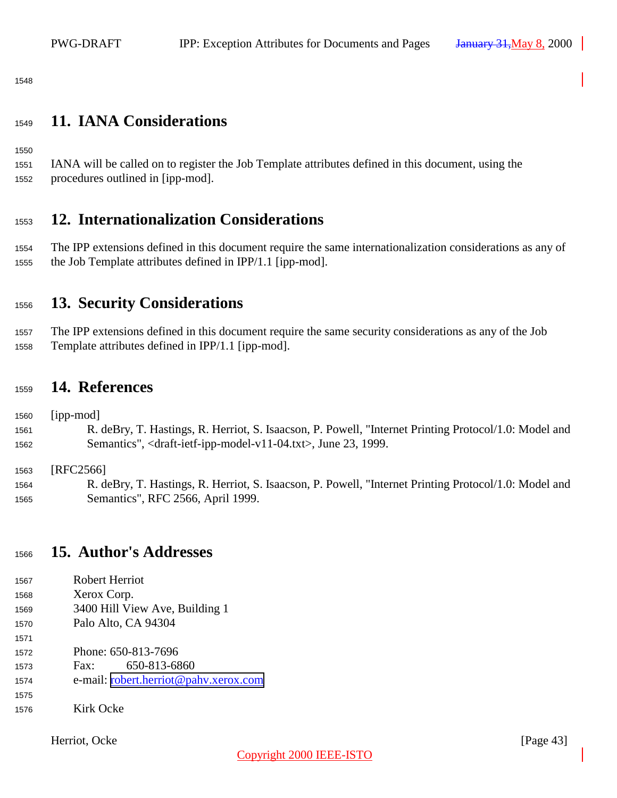<span id="page-42-0"></span>

## **11. IANA Considerations**

 IANA will be called on to register the Job Template attributes defined in this document, using the procedures outlined in [ipp-mod].

## **12. Internationalization Considerations**

 The IPP extensions defined in this document require the same internationalization considerations as any of the Job Template attributes defined in IPP/1.1 [ipp-mod].

## **13. Security Considerations**

 The IPP extensions defined in this document require the same security considerations as any of the Job Template attributes defined in IPP/1.1 [ipp-mod].

## **14. References**

[ipp-mod]

 R. deBry, T. Hastings, R. Herriot, S. Isaacson, P. Powell, "Internet Printing Protocol/1.0: Model and Semantics", <draft-ietf-ipp-model-v11-04.txt>, June 23, 1999.

[RFC2566]

 R. deBry, T. Hastings, R. Herriot, S. Isaacson, P. Powell, "Internet Printing Protocol/1.0: Model and Semantics", RFC 2566, April 1999.

## **15. Author's Addresses**

| 1567 | Robert Herriot                        |
|------|---------------------------------------|
| 1568 | Xerox Corp.                           |
| 1569 | 3400 Hill View Ave, Building 1        |
| 1570 | Palo Alto, CA 94304                   |
| 1571 |                                       |
| 1572 | Phone: 650-813-7696                   |
| 1573 | 650-813-6860<br>$\text{Fax}$ :        |
| 1574 | e-mail: robert.herriot@pahv.xerox.com |
| 1575 |                                       |
| 1576 | Kirk Ocke                             |
|      |                                       |

Herriot, Ocke [Page 43]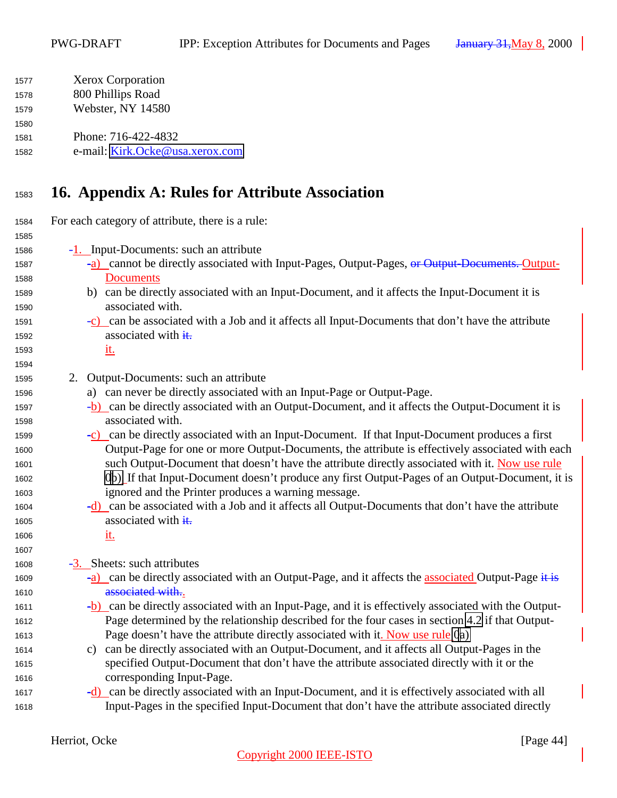<span id="page-43-0"></span>

| 1577 | <b>Xerox Corporation</b>        |
|------|---------------------------------|
| 1578 | 800 Phillips Road               |
| 1579 | Webster, NY 14580               |
| 1580 |                                 |
| 1581 | Phone: 716-422-4832             |
| 1582 | e-mail: Kirk.Ocke@usa.xerox.com |
|      |                                 |

## **16. Appendix A: Rules for Attribute Association**

 For each category of attribute, there is a rule: -1. Input-Documents: such an attribute <sup>1587</sup> -a) cannot be directly associated with Input-Pages, Output-Pages, <del>or Output-Documents. Output-</del> Documents b) can be directly associated with an Input-Document, and it affects the Input-Document it is associated with.  $-c)$  can be associated with a Job and it affects all Input-Documents that don't have the attribute 1592 associated with  $\frac{1}{1}$ . it. 2. Output-Documents: such an attribute a) can never be directly associated with an Input-Page or Output-Page. -b) can be directly associated with an Output-Document, and it affects the Output-Document it is associated with.  $\frac{-c}{c}$  can be directly associated with an Input-Document. If that Input-Document produces a first Output-Page for one or more Output-Documents, the attribute is effectively associated with each such Output-Document that doesn't have the attribute directly associated with it. Now use rule 0b). If that Input-Document doesn't produce any first Output-Pages of an Output-Document, it is ignored and the Printer produces a warning message. -d) can be associated with a Job and it affects all Output-Documents that don't have the attribute 1605 associated with  $\frac{1}{1}$ .  $\frac{\mathrm{i} \mathrm{t}}{\mathrm{i} \mathrm{t}}$  -3. Sheets: such attributes 1609 -a) can be directly associated with an Output-Page, and it affects the associated Output-Page  $\ddot{x}$ **associated with..**  -b) can be directly associated with an Input-Page, and it is effectively associated with the Output- Page determined by the relationship described for the four cases in section [4.2](#page-12-0) if that Output- Page doesn't have the attribute directly associated with it. Now use rule 0a) c) can be directly associated with an Output-Document, and it affects all Output-Pages in the specified Output-Document that don't have the attribute associated directly with it or the corresponding Input-Page. -d) can be directly associated with an Input-Document, and it is effectively associated with all Input-Pages in the specified Input-Document that don't have the attribute associated directly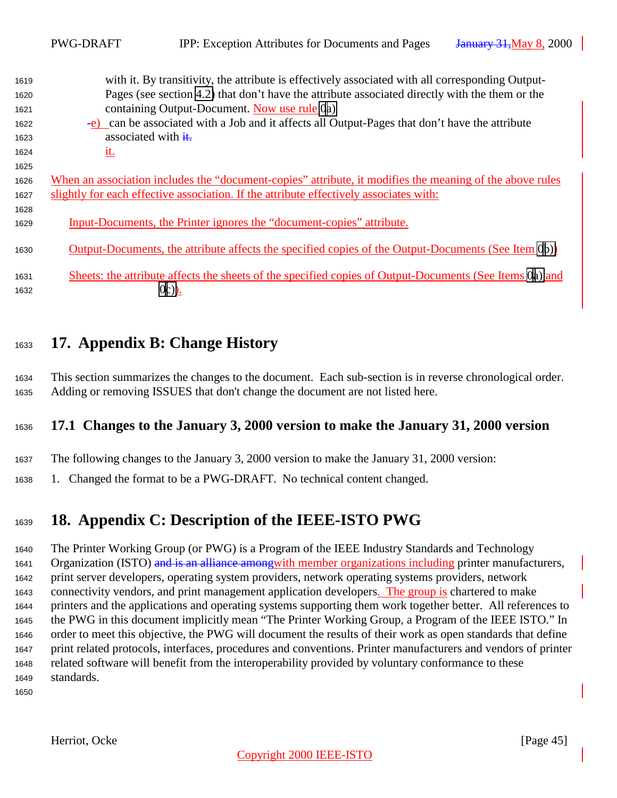<span id="page-44-0"></span>

|      | <b>PWG-DRAFT</b>                 | <b>IPP:</b> Exception Attributes for Documents and Pages                                                 | <b>January 31, May 8, 2000</b> |
|------|----------------------------------|----------------------------------------------------------------------------------------------------------|--------------------------------|
| 1619 |                                  | with it. By transitivity, the attribute is effectively associated with all corresponding Output-         |                                |
| 1620 |                                  | Pages (see section 4.2) that don't have the attribute associated directly with the them or the           |                                |
| 1621 |                                  | containing Output-Document. Now use rule 0a)                                                             |                                |
| 1622 |                                  | -e) can be associated with a Job and it affects all Output-Pages that don't have the attribute           |                                |
| 1623 | associated with $\frac{d}{dt}$ . |                                                                                                          |                                |
| 1624 | <u>it.</u>                       |                                                                                                          |                                |
| 1625 |                                  |                                                                                                          |                                |
| 1626 |                                  | When an association includes the "document-copies" attribute, it modifies the meaning of the above rules |                                |
| 1627 |                                  | slightly for each effective association. If the attribute effectively associates with:                   |                                |
| 1628 |                                  |                                                                                                          |                                |
| 1629 |                                  | Input-Documents, the Printer ignores the "document-copies" attribute.                                    |                                |
| 1630 |                                  | Output-Documents, the attribute affects the specified copies of the Output-Documents (See Item 0b))      |                                |
| 1631 |                                  | Sheets: the attribute affects the sheets of the specified copies of Output-Documents (See Items 0a) and  |                                |
| 1632 |                                  | $0c)$ ).                                                                                                 |                                |

## **17. Appendix B: Change History**

 This section summarizes the changes to the document. Each sub-section is in reverse chronological order. Adding or removing ISSUES that don't change the document are not listed here.

## **17.1 Changes to the January 3, 2000 version to make the January 31, 2000 version**

- The following changes to the January 3, 2000 version to make the January 31, 2000 version:
- 1. Changed the format to be a PWG-DRAFT. No technical content changed.

# **18. Appendix C: Description of the IEEE-ISTO PWG**

 The Printer Working Group (or PWG) is a Program of the IEEE Industry Standards and Technology 1641 Organization (ISTO) and is an alliance amongwith member organizations including printer manufacturers, print server developers, operating system providers, network operating systems providers, network 1643 connectivity vendors, and print management application developers. The group is chartered to make printers and the applications and operating systems supporting them work together better. All references to the PWG in this document implicitly mean "The Printer Working Group, a Program of the IEEE ISTO." In order to meet this objective, the PWG will document the results of their work as open standards that define print related protocols, interfaces, procedures and conventions. Printer manufacturers and vendors of printer related software will benefit from the interoperability provided by voluntary conformance to these standards.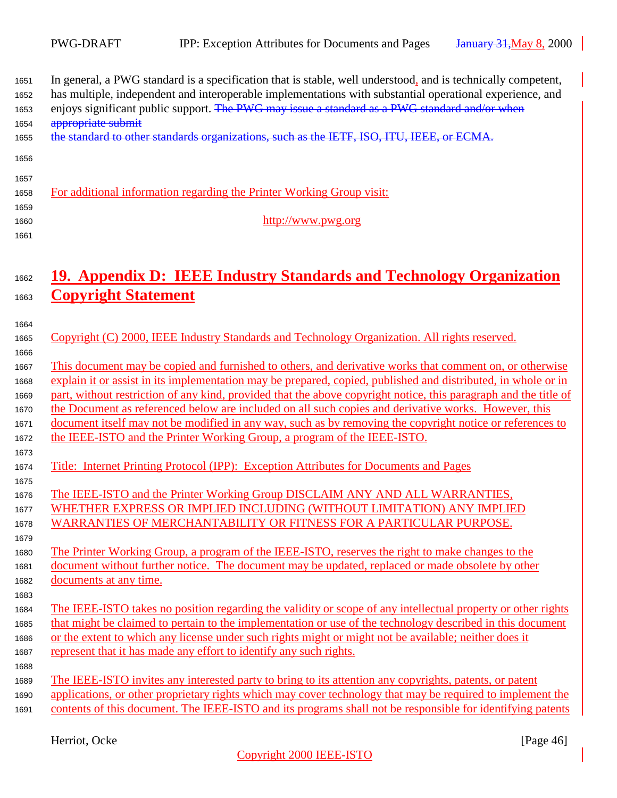| In general, a PWG standard is a specification that is stable, well understood, and is technically competent,<br>has multiple, independent and interoperable implementations with substantial operational experience, and<br>enjoys significant public support. The PWG may issue a standard as a PWG standard and/or when<br>appropriate submit |
|-------------------------------------------------------------------------------------------------------------------------------------------------------------------------------------------------------------------------------------------------------------------------------------------------------------------------------------------------|
| the standard to other standards organizations, such as the IETF, ISO, ITU, IEEE, or ECMA.                                                                                                                                                                                                                                                       |
| For additional information regarding the Printer Working Group visit:                                                                                                                                                                                                                                                                           |
| http://www.pwg.org                                                                                                                                                                                                                                                                                                                              |
| 19. Appendix D: IEEE Industry Standards and Technology Organization                                                                                                                                                                                                                                                                             |
| <b>Copyright Statement</b>                                                                                                                                                                                                                                                                                                                      |
| Copyright (C) 2000, IEEE Industry Standards and Technology Organization. All rights reserved.                                                                                                                                                                                                                                                   |
| This document may be copied and furnished to others, and derivative works that comment on, or otherwise                                                                                                                                                                                                                                         |
| explain it or assist in its implementation may be prepared, copied, published and distributed, in whole or in                                                                                                                                                                                                                                   |
| part, without restriction of any kind, provided that the above copyright notice, this paragraph and the title of                                                                                                                                                                                                                                |
| the Document as referenced below are included on all such copies and derivative works. However, this                                                                                                                                                                                                                                            |
| document itself may not be modified in any way, such as by removing the copyright notice or references to                                                                                                                                                                                                                                       |
| the IEEE-ISTO and the Printer Working Group, a program of the IEEE-ISTO.                                                                                                                                                                                                                                                                        |
| Title: Internet Printing Protocol (IPP): Exception Attributes for Documents and Pages                                                                                                                                                                                                                                                           |
| The IEEE-ISTO and the Printer Working Group DISCLAIM ANY AND ALL WARRANTIES,                                                                                                                                                                                                                                                                    |
| WHETHER EXPRESS OR IMPLIED INCLUDING (WITHOUT LIMITATION) ANY IMPLIED                                                                                                                                                                                                                                                                           |
| <b>WARRANTIES OF MERCHANTABILITY OR FITNESS FOR A PARTICULAR PURPOSE.</b>                                                                                                                                                                                                                                                                       |
| The Printer Working Group, a program of the IEEE-ISTO, reserves the right to make changes to the                                                                                                                                                                                                                                                |
| document without further notice. The document may be updated, replaced or made obsolete by other                                                                                                                                                                                                                                                |
| documents at any time.                                                                                                                                                                                                                                                                                                                          |
| The IEEE-ISTO takes no position regarding the validity or scope of any intellectual property or other rights                                                                                                                                                                                                                                    |
| that might be claimed to pertain to the implementation or use of the technology described in this document                                                                                                                                                                                                                                      |
| or the extent to which any license under such rights might or might not be available; neither does it                                                                                                                                                                                                                                           |
| represent that it has made any effort to identify any such rights.                                                                                                                                                                                                                                                                              |
| The IEEE-ISTO invites any interested party to bring to its attention any copyrights, patents, or patent                                                                                                                                                                                                                                         |
| applications, or other proprietary rights which may cover technology that may be required to implement the                                                                                                                                                                                                                                      |
| contents of this document. The IEEE-ISTO and its programs shall not be responsible for identifying patents                                                                                                                                                                                                                                      |
|                                                                                                                                                                                                                                                                                                                                                 |